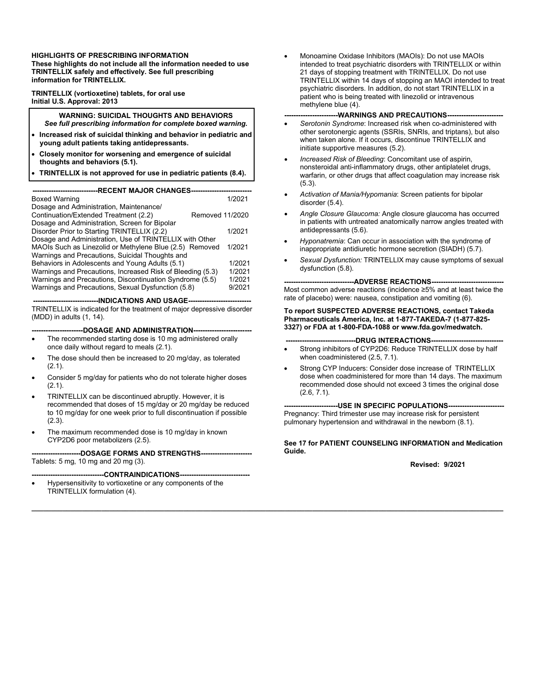#### **HIGHLIGHTS OF PRESCRIBING INFORMATION**

**These highlights do not include all the information needed to use TRINTELLIX safely and effectively. See full prescribing information for TRINTELLIX.**

**TRINTELLIX (vortioxetine) tablets, for oral use Initial U.S. Approval: 2013**

**WARNING: SUICIDAL THOUGHTS AND BEHAVIORS** *See full prescribing information for complete boxed warning.*

- **Increased risk of suicidal thinking and behavior in pediatric and young adult patients taking antidepressants.**
- **Closely monitor for worsening and emergence of suicidal thoughts and behaviors (5.1).**
- **TRINTELLIX is not approved for use in pediatric patients (8.4).**

#### **----------------------------RECENT MAJOR CHANGES--------------------------**

| <b>Boxed Warning</b>                                       | 1/2021 |
|------------------------------------------------------------|--------|
| Dosage and Administration, Maintenance/                    |        |
| Removed 11/2020<br>Continuation/Extended Treatment (2.2)   |        |
| Dosage and Administration, Screen for Bipolar              |        |
| Disorder Prior to Starting TRINTELLIX (2.2)                | 1/2021 |
| Dosage and Administration, Use of TRINTELLIX with Other    |        |
| MAOIs Such as Linezolid or Methylene Blue (2.5) Removed    | 1/2021 |
| Warnings and Precautions, Suicidal Thoughts and            |        |
| Behaviors in Adolescents and Young Adults (5.1)            | 1/2021 |
| Warnings and Precautions, Increased Risk of Bleeding (5.3) | 1/2021 |
| Warnings and Precautions, Discontinuation Syndrome (5.5)   | 1/2021 |
| Warnings and Precautions, Sexual Dysfunction (5.8)         | 9/2021 |

**----------------------------INDICATIONS AND USAGE---------------------------** TRINTELLIX is indicated for the treatment of major depressive disorder (MDD) in adults (1, 14).

#### **----------------------DOSAGE AND ADMINISTRATION-------------------------**

- The recommended starting dose is 10 mg administered orally once daily without regard to meals (2.1).
- The dose should then be increased to 20 mg/day, as tolerated (2.1).
- Consider 5 mg/day for patients who do not tolerate higher doses (2.1).
- TRINTELLIX can be discontinued abruptly. However, it is recommended that doses of 15 mg/day or 20 mg/day be reduced to 10 mg/day for one week prior to full discontinuation if possible (2.3).
- The maximum recommended dose is 10 mg/day in known CYP2D6 poor metabolizers (2.5).

**---------------------DOSAGE FORMS AND STRENGTHS----------------------** Tablets: 5 mg, 10 mg and 20 mg (3).

```
-------------------------------CONTRAINDICATIONS------------------------------
```
• Hypersensitivity to vortioxetine or any components of the TRINTELLIX formulation (4).

• Monoamine Oxidase Inhibitors (MAOIs): Do not use MAOIs intended to treat psychiatric disorders with TRINTELLIX or within 21 days of stopping treatment with TRINTELLIX. Do not use TRINTELLIX within 14 days of stopping an MAOI intended to treat psychiatric disorders. In addition, do not start TRINTELLIX in a patient who is being treated with linezolid or intravenous methylene blue (4).

#### ---WARNINGS AND PRECAUTIONS----

- *Serotonin Syndrome*: Increased risk when co-administered with other serotonergic agents (SSRIs, SNRIs, and triptans), but also when taken alone. If it occurs, discontinue TRINTELLIX and initiate supportive measures (5.2).
- *Increased Risk of Bleeding*: Concomitant use of aspirin, nonsteroidal anti-inflammatory drugs, other antiplatelet drugs, warfarin, or other drugs that affect coagulation may increase risk (5.3).
- *Activation of Mania/Hypomania*: Screen patients for bipolar disorder (5.4).
- *Angle Closure Glaucoma:* Angle closure glaucoma has occurred in patients with untreated anatomically narrow angles treated with antidepressants (5.6).
- *Hyponatremia*: Can occur in association with the syndrome of inappropriate antidiuretic hormone secretion (SIADH) (5.7).
- *Sexual Dysfunction:* TRINTELLIX may cause symptoms of sexual dysfunction (5.8).

----ADVERSE REACTIONS----Most common adverse reactions (incidence ≥5% and at least twice the rate of placebo) were: nausea, constipation and vomiting (6).

#### **To report SUSPECTED ADVERSE REACTIONS, contact Takeda Pharmaceuticals America, Inc. at 1-877-TAKEDA-7 (1-877-825- 3327) or FDA at 1-800-FDA-1088 or www.fda.gov/medwatch.**

- ----DRUG INTERACTIONS--
- Strong inhibitors of CYP2D6: Reduce TRINTELLIX dose by half when coadministered (2.5, 7.1).
- Strong CYP Inducers: Consider dose increase of TRINTELLIX dose when coadministered for more than 14 days. The maximum recommended dose should not exceed 3 times the original dose (2.6, 7.1).

-----USE IN SPECIFIC POPULATIONS----Pregnancy: Third trimester use may increase risk for persistent pulmonary hypertension and withdrawal in the newborn (8.1).

**\_\_\_\_\_\_\_\_\_\_\_\_\_\_\_\_\_\_\_\_\_\_\_\_\_\_\_\_\_\_\_\_\_\_\_\_\_\_\_\_\_\_\_\_\_\_\_\_\_\_\_\_\_\_\_\_\_\_\_\_\_\_\_\_\_\_\_\_\_\_\_\_\_\_\_\_\_\_\_\_\_\_\_\_\_\_\_\_\_\_\_\_\_\_\_\_\_\_\_\_\_\_\_\_\_\_\_\_\_\_\_\_\_\_\_\_\_\_\_\_\_**

#### **See 17 for PATIENT COUNSELING INFORMATION and Medication Guide.**

**Revised: 9/2021**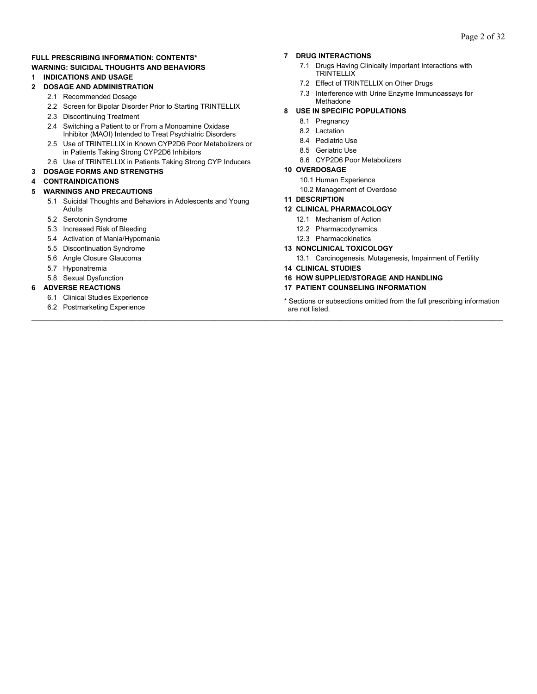#### **FULL PRESCRIBING INFORMATION: CONTENTS\* WARNING: SUICIDAL THOUGHTS AND BEHAVIORS**

#### **1 INDICATIONS AND USAGE**

#### **2 DOSAGE AND ADMINISTRATION**

- 2.1 Recommended Dosage
- 2.2 Screen for Bipolar Disorder Prior to Starting TRINTELLIX
- 2.3 Discontinuing Treatment
- 2.4 Switching a Patient to or From a Monoamine Oxidase Inhibitor (MAOI) Intended to Treat Psychiatric Disorders
- 2.5 Use of TRINTELLIX in Known CYP2D6 Poor Metabolizers or in Patients Taking Strong CYP2D6 Inhibitors
- 2.6 Use of TRINTELLIX in Patients Taking Strong CYP Inducers

#### **3 DOSAGE FORMS AND STRENGTHS**

#### **4 CONTRAINDICATIONS**

#### **5 WARNINGS AND PRECAUTIONS**

- 5.1 Suicidal Thoughts and Behaviors in Adolescents and Young Adults
- 5.2 Serotonin Syndrome
- 5.3 Increased Risk of Bleeding
- 5.4 Activation of Mania/Hypomania
- 5.5 Discontinuation Syndrome
- 5.6 Angle Closure Glaucoma
- 5.7 Hyponatremia
- 5.8 Sexual Dysfunction

#### **6 ADVERSE REACTIONS**

- 6.1 Clinical Studies Experience
- 6.2 Postmarketing Experience

#### **7 DRUG INTERACTIONS**

- 7.1 Drugs Having Clinically Important Interactions with **TRINTELLIX**
- 7.2 Effect of TRINTELLIX on Other Drugs
- 7.3 Interference with Urine Enzyme Immunoassays for Methadone

#### **8 USE IN SPECIFIC POPULATIONS**

- 8.1 Pregnancy
- 8.2 Lactation
- 8.4 Pediatric Use
- 8.5 Geriatric Use
- 8.6 CYP2D6 Poor Metabolizers
- **10 OVERDOSAGE**
	- 10.1 Human Experience
	- 10.2 Management of Overdose
- **11 DESCRIPTION**

#### **12 CLINICAL PHARMACOLOGY**

- 12.1 Mechanism of Action
- 12.2 Pharmacodynamics
- 12.3 Pharmacokinetics
- **13 NONCLINICAL TOXICOLOGY**
	- 13.1 Carcinogenesis, Mutagenesis, Impairment of Fertility
- **14 CLINICAL STUDIES**

**\_\_\_\_\_\_\_\_\_\_\_\_\_\_\_\_\_\_\_\_\_\_\_\_\_\_\_\_\_\_\_\_\_\_\_\_\_\_\_\_\_\_\_\_\_\_\_\_\_\_\_\_\_\_\_\_\_\_\_\_\_\_\_\_\_\_\_\_\_\_\_\_\_\_\_\_\_\_\_\_\_\_\_\_\_\_\_\_\_\_\_\_\_\_\_\_\_\_\_\_\_\_\_\_\_\_\_\_\_\_\_\_\_\_\_\_\_\_\_\_\_**

- **16 HOW SUPPLIED/STORAGE AND HANDLING**
- **17 PATIENT COUNSELING INFORMATION**
- \* Sections or subsections omitted from the full prescribing information are not listed.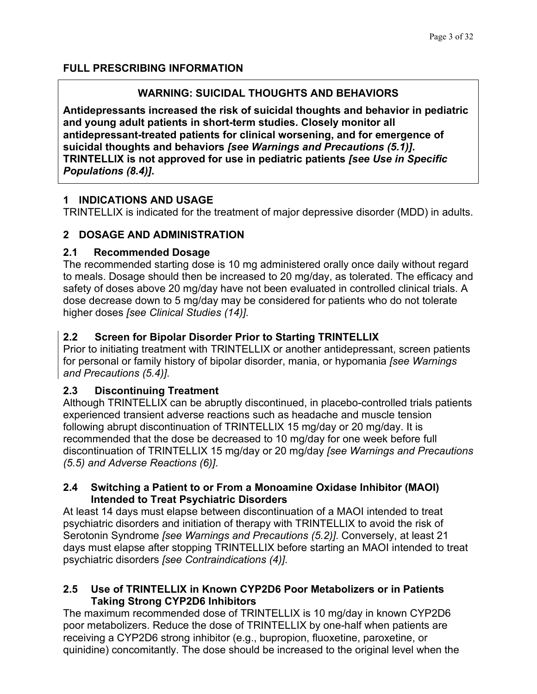# **FULL PRESCRIBING INFORMATION**

# **WARNING: SUICIDAL THOUGHTS AND BEHAVIORS**

**Antidepressants increased the risk of suicidal thoughts and behavior in pediatric and young adult patients in short-term studies. Closely monitor all antidepressant-treated patients for clinical worsening, and for emergence of suicidal thoughts and behaviors** *[see Warnings and Precautions (5.1)]***. TRINTELLIX is not approved for use in pediatric patients** *[see Use in Specific Populations (8.4)]***.**

# **1 INDICATIONS AND USAGE**

TRINTELLIX is indicated for the treatment of major depressive disorder (MDD) in adults.

# **2 DOSAGE AND ADMINISTRATION**

## **2.1 Recommended Dosage**

The recommended starting dose is 10 mg administered orally once daily without regard to meals. Dosage should then be increased to 20 mg/day, as tolerated. The efficacy and safety of doses above 20 mg/day have not been evaluated in controlled clinical trials. A dose decrease down to 5 mg/day may be considered for patients who do not tolerate higher doses *[see Clinical Studies (14)]*.

# **2.2 Screen for Bipolar Disorder Prior to Starting TRINTELLIX**

Prior to initiating treatment with TRINTELLIX or another antidepressant, screen patients for personal or family history of bipolar disorder, mania, or hypomania *[see Warnings and Precautions (5.4)]*.

## **2.3 Discontinuing Treatment**

Although TRINTELLIX can be abruptly discontinued, in placebo-controlled trials patients experienced transient adverse reactions such as headache and muscle tension following abrupt discontinuation of TRINTELLIX 15 mg/day or 20 mg/day. It is recommended that the dose be decreased to 10 mg/day for one week before full discontinuation of TRINTELLIX 15 mg/day or 20 mg/day *[see Warnings and Precautions (5.5) and Adverse Reactions (6)]*.

## **2.4 Switching a Patient to or From a Monoamine Oxidase Inhibitor (MAOI) Intended to Treat Psychiatric Disorders**

At least 14 days must elapse between discontinuation of a MAOI intended to treat psychiatric disorders and initiation of therapy with TRINTELLIX to avoid the risk of Serotonin Syndrome *[see Warnings and Precautions (5.2)]*. Conversely, at least 21 days must elapse after stopping TRINTELLIX before starting an MAOI intended to treat psychiatric disorders *[see Contraindications (4)]*.

## **2.5 Use of TRINTELLIX in Known CYP2D6 Poor Metabolizers or in Patients Taking Strong CYP2D6 Inhibitors**

The maximum recommended dose of TRINTELLIX is 10 mg/day in known CYP2D6 poor metabolizers. Reduce the dose of TRINTELLIX by one-half when patients are receiving a CYP2D6 strong inhibitor (e.g., bupropion, fluoxetine, paroxetine, or quinidine) concomitantly. The dose should be increased to the original level when the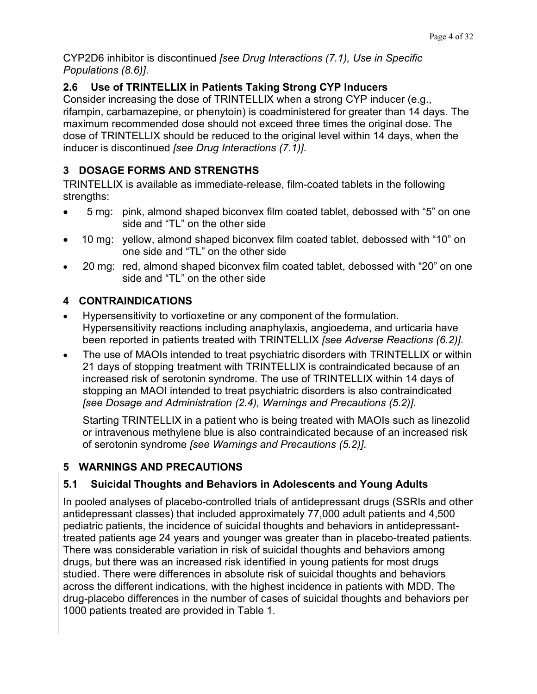CYP2D6 inhibitor is discontinued *[see Drug Interactions (7.1), Use in Specific Populations (8.6)]*.

## **2.6 Use of TRINTELLIX in Patients Taking Strong CYP Inducers**

Consider increasing the dose of TRINTELLIX when a strong CYP inducer (e.g., rifampin, carbamazepine, or phenytoin) is coadministered for greater than 14 days. The maximum recommended dose should not exceed three times the original dose. The dose of TRINTELLIX should be reduced to the original level within 14 days, when the inducer is discontinued *[see Drug Interactions (7.1)]*.

# **3 DOSAGE FORMS AND STRENGTHS**

TRINTELLIX is available as immediate-release, film-coated tablets in the following strengths:

- 5 mg: pink, almond shaped biconvex film coated tablet, debossed with "5" on one side and "TL" on the other side
- 10 mg: yellow, almond shaped biconvex film coated tablet, debossed with "10" on one side and "TL" on the other side
- 20 mg: red, almond shaped biconvex film coated tablet, debossed with "20" on one side and "TL" on the other side

## **4 CONTRAINDICATIONS**

- Hypersensitivity to vortioxetine or any component of the formulation. Hypersensitivity reactions including anaphylaxis, angioedema, and urticaria have been reported in patients treated with TRINTELLIX *[see Adverse Reactions (6.2)]*.
- The use of MAOIs intended to treat psychiatric disorders with TRINTELLIX or within 21 days of stopping treatment with TRINTELLIX is contraindicated because of an increased risk of serotonin syndrome. The use of TRINTELLIX within 14 days of stopping an MAOI intended to treat psychiatric disorders is also contraindicated *[see Dosage and Administration (2.4), Warnings and Precautions (5.2)]*.

Starting TRINTELLIX in a patient who is being treated with MAOIs such as linezolid or intravenous methylene blue is also contraindicated because of an increased risk of serotonin syndrome *[see Warnings and Precautions (5.2)]*.

# **5 WARNINGS AND PRECAUTIONS**

# **5.1 Suicidal Thoughts and Behaviors in Adolescents and Young Adults**

In pooled analyses of placebo-controlled trials of antidepressant drugs (SSRIs and other antidepressant classes) that included approximately 77,000 adult patients and 4,500 pediatric patients, the incidence of suicidal thoughts and behaviors in antidepressanttreated patients age 24 years and younger was greater than in placebo-treated patients. There was considerable variation in risk of suicidal thoughts and behaviors among drugs, but there was an increased risk identified in young patients for most drugs studied. There were differences in absolute risk of suicidal thoughts and behaviors across the different indications, with the highest incidence in patients with MDD. The drug-placebo differences in the number of cases of suicidal thoughts and behaviors per 1000 patients treated are provided in Table 1.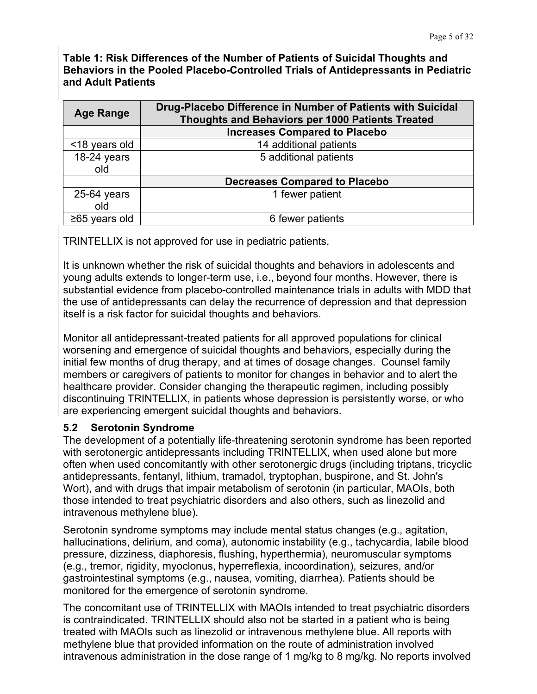**Table 1: Risk Differences of the Number of Patients of Suicidal Thoughts and Behaviors in the Pooled Placebo-Controlled Trials of Antidepressants in Pediatric and Adult Patients**

| <b>Age Range</b> | Drug-Placebo Difference in Number of Patients with Suicidal<br>Thoughts and Behaviors per 1000 Patients Treated |
|------------------|-----------------------------------------------------------------------------------------------------------------|
|                  | <b>Increases Compared to Placebo</b>                                                                            |
| <18 years old    | 14 additional patients                                                                                          |
| 18-24 years      | 5 additional patients                                                                                           |
| old              |                                                                                                                 |
|                  | <b>Decreases Compared to Placebo</b>                                                                            |
| $25-64$ years    | 1 fewer patient                                                                                                 |
| old              |                                                                                                                 |
| ≥65 years old    | 6 fewer patients                                                                                                |

TRINTELLIX is not approved for use in pediatric patients.

It is unknown whether the risk of suicidal thoughts and behaviors in adolescents and young adults extends to longer-term use, i.e., beyond four months. However, there is substantial evidence from placebo-controlled maintenance trials in adults with MDD that the use of antidepressants can delay the recurrence of depression and that depression itself is a risk factor for suicidal thoughts and behaviors.

Monitor all antidepressant-treated patients for all approved populations for clinical worsening and emergence of suicidal thoughts and behaviors, especially during the initial few months of drug therapy, and at times of dosage changes. Counsel family members or caregivers of patients to monitor for changes in behavior and to alert the healthcare provider. Consider changing the therapeutic regimen, including possibly discontinuing TRINTELLIX, in patients whose depression is persistently worse, or who are experiencing emergent suicidal thoughts and behaviors.

## **5.2 Serotonin Syndrome**

The development of a potentially life-threatening serotonin syndrome has been reported with serotonergic antidepressants including TRINTELLIX, when used alone but more often when used concomitantly with other serotonergic drugs (including triptans, tricyclic antidepressants, fentanyl, lithium, tramadol, tryptophan, buspirone, and St. John's Wort), and with drugs that impair metabolism of serotonin (in particular, MAOIs, both those intended to treat psychiatric disorders and also others, such as linezolid and intravenous methylene blue).

Serotonin syndrome symptoms may include mental status changes (e.g., agitation, hallucinations, delirium, and coma), autonomic instability (e.g., tachycardia, labile blood pressure, dizziness, diaphoresis, flushing, hyperthermia), neuromuscular symptoms (e.g., tremor, rigidity, myoclonus, hyperreflexia, incoordination), seizures, and/or gastrointestinal symptoms (e.g., nausea, vomiting, diarrhea). Patients should be monitored for the emergence of serotonin syndrome.

The concomitant use of TRINTELLIX with MAOIs intended to treat psychiatric disorders is contraindicated. TRINTELLIX should also not be started in a patient who is being treated with MAOIs such as linezolid or intravenous methylene blue. All reports with methylene blue that provided information on the route of administration involved intravenous administration in the dose range of 1 mg/kg to 8 mg/kg. No reports involved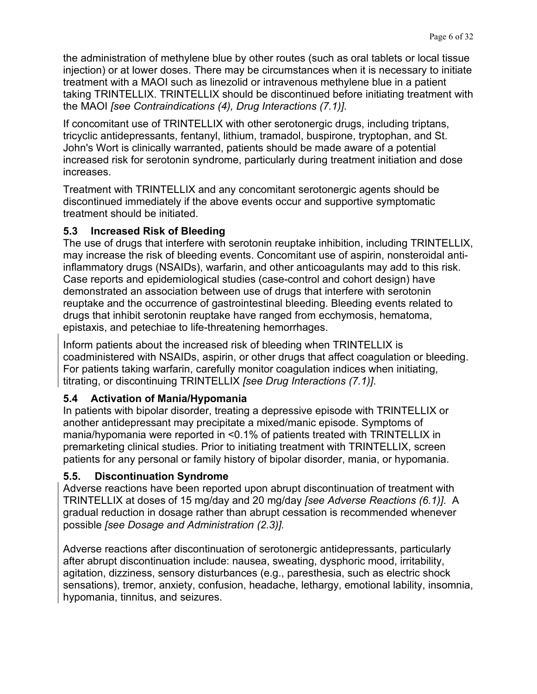the administration of methylene blue by other routes (such as oral tablets or local tissue injection) or at lower doses. There may be circumstances when it is necessary to initiate treatment with a MAOI such as linezolid or intravenous methylene blue in a patient taking TRINTELLIX. TRINTELLIX should be discontinued before initiating treatment with the MAOI *[see Contraindications (4), Drug Interactions (7.1)]*.

If concomitant use of TRINTELLIX with other serotonergic drugs, including triptans, tricyclic antidepressants, fentanyl, lithium, tramadol, buspirone, tryptophan, and St. John's Wort is clinically warranted, patients should be made aware of a potential increased risk for serotonin syndrome, particularly during treatment initiation and dose increases.

Treatment with TRINTELLIX and any concomitant serotonergic agents should be discontinued immediately if the above events occur and supportive symptomatic treatment should be initiated.

# **5.3 Increased Risk of Bleeding**

The use of drugs that interfere with serotonin reuptake inhibition, including TRINTELLIX, may increase the risk of bleeding events. Concomitant use of aspirin, nonsteroidal antiinflammatory drugs (NSAIDs), warfarin, and other anticoagulants may add to this risk. Case reports and epidemiological studies (case-control and cohort design) have demonstrated an association between use of drugs that interfere with serotonin reuptake and the occurrence of gastrointestinal bleeding. Bleeding events related to drugs that inhibit serotonin reuptake have ranged from ecchymosis, hematoma, epistaxis, and petechiae to life-threatening hemorrhages.

Inform patients about the increased risk of bleeding when TRINTELLIX is coadministered with NSAIDs, aspirin, or other drugs that affect coagulation or bleeding. For patients taking warfarin, carefully monitor coagulation indices when initiating, titrating, or discontinuing TRINTELLIX *[see Drug Interactions (7.1)]*.

# **5.4 Activation of Mania/Hypomania**

In patients with bipolar disorder, treating a depressive episode with TRINTELLIX or another antidepressant may precipitate a mixed/manic episode. Symptoms of mania/hypomania were reported in <0.1% of patients treated with TRINTELLIX in premarketing clinical studies. Prior to initiating treatment with TRINTELLIX, screen patients for any personal or family history of bipolar disorder, mania, or hypomania.

# **5.5. Discontinuation Syndrome**

Adverse reactions have been reported upon abrupt discontinuation of treatment with TRINTELLIX at doses of 15 mg/day and 20 mg/day *[see Adverse Reactions (6.1)]*. A gradual reduction in dosage rather than abrupt cessation is recommended whenever possible *[see Dosage and Administration (2.3)].*

Adverse reactions after discontinuation of serotonergic antidepressants, particularly after abrupt discontinuation include: nausea, sweating, dysphoric mood, irritability, agitation, dizziness, sensory disturbances (e.g., paresthesia, such as electric shock sensations), tremor, anxiety, confusion, headache, lethargy, emotional lability, insomnia, hypomania, tinnitus, and seizures.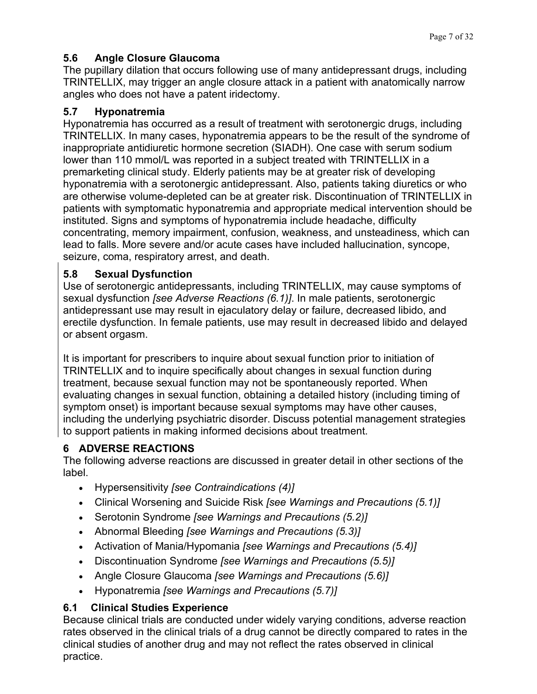# **5.6 Angle Closure Glaucoma**

The pupillary dilation that occurs following use of many antidepressant drugs, including TRINTELLIX, may trigger an angle closure attack in a patient with anatomically narrow angles who does not have a patent iridectomy.

## **5.7 Hyponatremia**

Hyponatremia has occurred as a result of treatment with serotonergic drugs, including TRINTELLIX. In many cases, hyponatremia appears to be the result of the syndrome of inappropriate antidiuretic hormone secretion (SIADH). One case with serum sodium lower than 110 mmol/L was reported in a subject treated with TRINTELLIX in a premarketing clinical study. Elderly patients may be at greater risk of developing hyponatremia with a serotonergic antidepressant. Also, patients taking diuretics or who are otherwise volume-depleted can be at greater risk. Discontinuation of TRINTELLIX in patients with symptomatic hyponatremia and appropriate medical intervention should be instituted. Signs and symptoms of hyponatremia include headache, difficulty concentrating, memory impairment, confusion, weakness, and unsteadiness, which can lead to falls. More severe and/or acute cases have included hallucination, syncope, seizure, coma, respiratory arrest, and death.

# **5.8 Sexual Dysfunction**

Use of serotonergic antidepressants, including TRINTELLIX, may cause symptoms of sexual dysfunction *[see Adverse Reactions (6.1)]*. In male patients, serotonergic antidepressant use may result in ejaculatory delay or failure, decreased libido, and erectile dysfunction. In female patients, use may result in decreased libido and delayed or absent orgasm.

It is important for prescribers to inquire about sexual function prior to initiation of TRINTELLIX and to inquire specifically about changes in sexual function during treatment, because sexual function may not be spontaneously reported. When evaluating changes in sexual function, obtaining a detailed history (including timing of symptom onset) is important because sexual symptoms may have other causes, including the underlying psychiatric disorder. Discuss potential management strategies to support patients in making informed decisions about treatment.

# **6 ADVERSE REACTIONS**

The following adverse reactions are discussed in greater detail in other sections of the label.

- Hypersensitivity *[see Contraindications (4)]*
- Clinical Worsening and Suicide Risk *[see Warnings and Precautions (5.1)]*
- Serotonin Syndrome *[see Warnings and Precautions (5.2)]*
- Abnormal Bleeding *[see Warnings and Precautions (5.3)]*
- Activation of Mania/Hypomania *[see Warnings and Precautions (5.4)]*
- Discontinuation Syndrome *[see Warnings and Precautions (5.5)]*
- Angle Closure Glaucoma *[see Warnings and Precautions (5.6)]*
- Hyponatremia *[see Warnings and Precautions (5.7)]*

# **6.1 Clinical Studies Experience**

Because clinical trials are conducted under widely varying conditions, adverse reaction rates observed in the clinical trials of a drug cannot be directly compared to rates in the clinical studies of another drug and may not reflect the rates observed in clinical practice.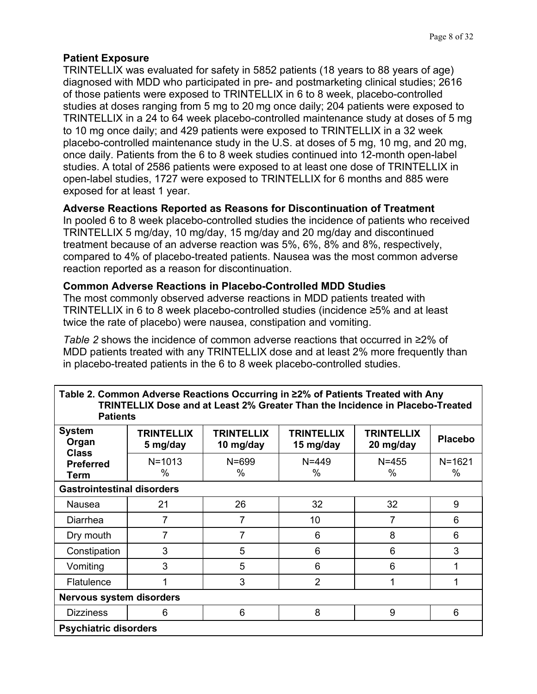## **Patient Exposure**

TRINTELLIX was evaluated for safety in 5852 patients (18 years to 88 years of age) diagnosed with MDD who participated in pre- and postmarketing clinical studies; 2616 of those patients were exposed to TRINTELLIX in 6 to 8 week, placebo-controlled studies at doses ranging from 5 mg to 20 mg once daily; 204 patients were exposed to TRINTELLIX in a 24 to 64 week placebo-controlled maintenance study at doses of 5 mg to 10 mg once daily; and 429 patients were exposed to TRINTELLIX in a 32 week placebo-controlled maintenance study in the U.S. at doses of 5 mg, 10 mg, and 20 mg, once daily. Patients from the 6 to 8 week studies continued into 12-month open-label studies. A total of 2586 patients were exposed to at least one dose of TRINTELLIX in open-label studies, 1727 were exposed to TRINTELLIX for 6 months and 885 were exposed for at least 1 year.

## **Adverse Reactions Reported as Reasons for Discontinuation of Treatment**

In pooled 6 to 8 week placebo-controlled studies the incidence of patients who received TRINTELLIX 5 mg/day, 10 mg/day, 15 mg/day and 20 mg/day and discontinued treatment because of an adverse reaction was 5%, 6%, 8% and 8%, respectively, compared to 4% of placebo-treated patients. Nausea was the most common adverse reaction reported as a reason for discontinuation.

## **Common Adverse Reactions in Placebo-Controlled MDD Studies**

The most commonly observed adverse reactions in MDD patients treated with TRINTELLIX in 6 to 8 week placebo-controlled studies (incidence ≥5% and at least twice the rate of placebo) were nausea, constipation and vomiting.

*Table 2* shows the incidence of common adverse reactions that occurred in ≥2% of MDD patients treated with any TRINTELLIX dose and at least 2% more frequently than in placebo-treated patients in the 6 to 8 week placebo-controlled studies.

| Table 2. Common Adverse Reactions Occurring in ≥2% of Patients Treated with Any<br>TRINTELLIX Dose and at Least 2% Greater Than the Incidence in Placebo-Treated<br><b>Patients</b> |                                   |                                |                                |                                |                 |  |
|-------------------------------------------------------------------------------------------------------------------------------------------------------------------------------------|-----------------------------------|--------------------------------|--------------------------------|--------------------------------|-----------------|--|
| <b>System</b><br>Organ<br><b>Class</b>                                                                                                                                              | <b>TRINTELLIX</b><br>5 mg/day     | <b>TRINTELLIX</b><br>10 mg/day | <b>TRINTELLIX</b><br>15 mg/day | <b>TRINTELLIX</b><br>20 mg/day | <b>Placebo</b>  |  |
| <b>Preferred</b><br>Term                                                                                                                                                            | $N = 1013$<br>%                   | $N = 699$<br>$\%$              | $N = 449$<br>%                 | $N = 455$<br>%                 | $N = 1621$<br>% |  |
|                                                                                                                                                                                     | <b>Gastrointestinal disorders</b> |                                |                                |                                |                 |  |
| Nausea                                                                                                                                                                              | 21                                | 26                             | 32                             | 32                             | 9               |  |
| Diarrhea                                                                                                                                                                            | 7                                 | 7                              | 10                             | 7                              | 6               |  |
| Dry mouth                                                                                                                                                                           | 7                                 | 7                              | 6                              | 8                              | 6               |  |
| Constipation                                                                                                                                                                        | 3                                 | 5                              | 6                              | 6                              | 3               |  |
| Vomiting                                                                                                                                                                            | 3                                 | 5                              | 6                              | 6                              | 1               |  |
| Flatulence                                                                                                                                                                          | 1                                 | 3                              | $\overline{2}$                 |                                |                 |  |
| Nervous system disorders                                                                                                                                                            |                                   |                                |                                |                                |                 |  |
| <b>Dizziness</b>                                                                                                                                                                    | 6                                 | 6                              | 8                              | 9                              | 6               |  |
| <b>Psychiatric disorders</b>                                                                                                                                                        |                                   |                                |                                |                                |                 |  |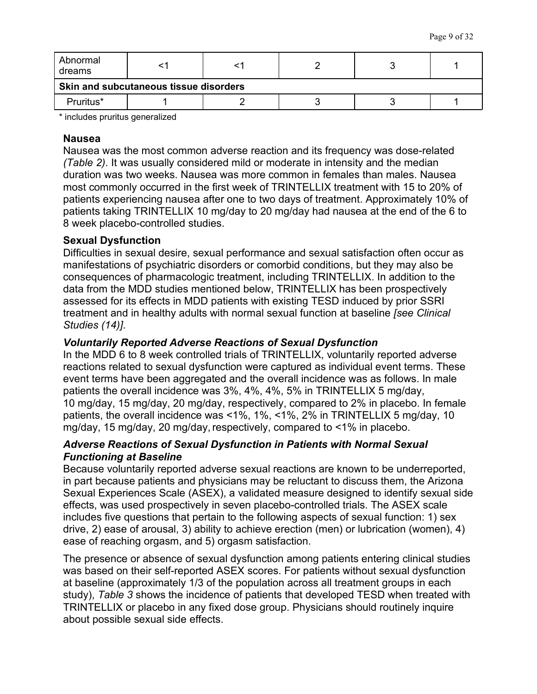| Abnormal<br>dreams                     |  |  |  |  |  |
|----------------------------------------|--|--|--|--|--|
| Skin and subcutaneous tissue disorders |  |  |  |  |  |
| Pruritus*                              |  |  |  |  |  |

\* includes pruritus generalized

### **Nausea**

Nausea was the most common adverse reaction and its frequency was dose-related *(Table 2)*. It was usually considered mild or moderate in intensity and the median duration was two weeks. Nausea was more common in females than males. Nausea most commonly occurred in the first week of TRINTELLIX treatment with 15 to 20% of patients experiencing nausea after one to two days of treatment. Approximately 10% of patients taking TRINTELLIX 10 mg/day to 20 mg/day had nausea at the end of the 6 to 8 week placebo-controlled studies.

## **Sexual Dysfunction**

Difficulties in sexual desire, sexual performance and sexual satisfaction often occur as manifestations of psychiatric disorders or comorbid conditions, but they may also be consequences of pharmacologic treatment, including TRINTELLIX. In addition to the data from the MDD studies mentioned below, TRINTELLIX has been prospectively assessed for its effects in MDD patients with existing TESD induced by prior SSRI treatment and in healthy adults with normal sexual function at baseline *[see Clinical Studies (14)]*.

## *Voluntarily Reported Adverse Reactions of Sexual Dysfunction*

In the MDD 6 to 8 week controlled trials of TRINTELLIX, voluntarily reported adverse reactions related to sexual dysfunction were captured as individual event terms. These event terms have been aggregated and the overall incidence was as follows. In male patients the overall incidence was 3%, 4%, 4%, 5% in TRINTELLIX 5 mg/day, 10 mg/day, 15 mg/day, 20 mg/day, respectively, compared to 2% in placebo. In female patients, the overall incidence was <1%, 1%, <1%, 2% in TRINTELLIX 5 mg/day, 10 mg/day, 15 mg/day, 20 mg/day, respectively, compared to  $\leq 1\%$  in placebo.

## *Adverse Reactions of Sexual Dysfunction in Patients with Normal Sexual Functioning at Baseline*

Because voluntarily reported adverse sexual reactions are known to be underreported, in part because patients and physicians may be reluctant to discuss them, the Arizona Sexual Experiences Scale (ASEX), a validated measure designed to identify sexual side effects, was used prospectively in seven placebo-controlled trials. The ASEX scale includes five questions that pertain to the following aspects of sexual function: 1) sex drive, 2) ease of arousal, 3) ability to achieve erection (men) or lubrication (women), 4) ease of reaching orgasm, and 5) orgasm satisfaction.

The presence or absence of sexual dysfunction among patients entering clinical studies was based on their self-reported ASEX scores. For patients without sexual dysfunction at baseline (approximately 1/3 of the population across all treatment groups in each study), *Table 3* shows the incidence of patients that developed TESD when treated with TRINTELLIX or placebo in any fixed dose group. Physicians should routinely inquire about possible sexual side effects.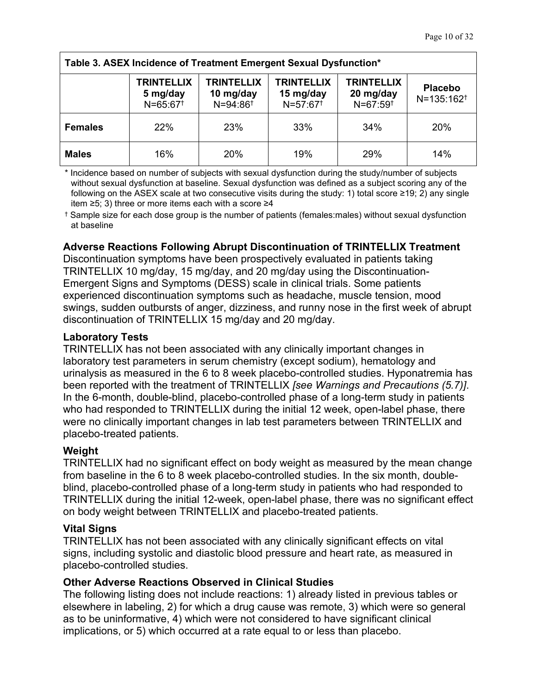| Table 3. ASEX Incidence of Treatment Emergent Sexual Dysfunction* |                                              |                                                   |                                                         |                                                   |                                           |
|-------------------------------------------------------------------|----------------------------------------------|---------------------------------------------------|---------------------------------------------------------|---------------------------------------------------|-------------------------------------------|
|                                                                   | <b>TRINTELLIX</b><br>5 mg/day<br>$N = 65:67$ | <b>TRINTELLIX</b><br>10 mg/day<br>$N = 94:86^{+}$ | <b>TRINTELLIX</b><br>15 mg/day<br>$N = 57:67^{\dagger}$ | <b>TRINTELLIX</b><br>20 mg/day<br>$N = 67:59^{+}$ | <b>Placebo</b><br>$N = 135:162^{\dagger}$ |
| <b>Females</b>                                                    | 22%                                          | 23%                                               | 33%                                                     | 34%                                               | 20%                                       |
| <b>Males</b>                                                      | 16%                                          | 20%                                               | 19%                                                     | 29%                                               | 14%                                       |

Incidence based on number of subjects with sexual dysfunction during the study/number of subjects without sexual dysfunction at baseline. Sexual dysfunction was defined as a subject scoring any of the following on the ASEX scale at two consecutive visits during the study: 1) total score ≥19; 2) any single item ≥5; 3) three or more items each with a score ≥4

† Sample size for each dose group is the number of patients (females:males) without sexual dysfunction at baseline

## **Adverse Reactions Following Abrupt Discontinuation of TRINTELLIX Treatment**

Discontinuation symptoms have been prospectively evaluated in patients taking TRINTELLIX 10 mg/day, 15 mg/day, and 20 mg/day using the Discontinuation-Emergent Signs and Symptoms (DESS) scale in clinical trials. Some patients experienced discontinuation symptoms such as headache, muscle tension, mood swings, sudden outbursts of anger, dizziness, and runny nose in the first week of abrupt discontinuation of TRINTELLIX 15 mg/day and 20 mg/day.

## **Laboratory Tests**

TRINTELLIX has not been associated with any clinically important changes in laboratory test parameters in serum chemistry (except sodium), hematology and urinalysis as measured in the 6 to 8 week placebo-controlled studies. Hyponatremia has been reported with the treatment of TRINTELLIX *[see Warnings and Precautions (5.7)]*. In the 6-month, double-blind, placebo-controlled phase of a long-term study in patients who had responded to TRINTELLIX during the initial 12 week, open-label phase, there were no clinically important changes in lab test parameters between TRINTELLIX and placebo-treated patients.

## **Weight**

TRINTELLIX had no significant effect on body weight as measured by the mean change from baseline in the 6 to 8 week placebo-controlled studies. In the six month, doubleblind, placebo-controlled phase of a long-term study in patients who had responded to TRINTELLIX during the initial 12-week, open-label phase, there was no significant effect on body weight between TRINTELLIX and placebo-treated patients.

## **Vital Signs**

TRINTELLIX has not been associated with any clinically significant effects on vital signs, including systolic and diastolic blood pressure and heart rate, as measured in placebo-controlled studies.

## **Other Adverse Reactions Observed in Clinical Studies**

The following listing does not include reactions: 1) already listed in previous tables or elsewhere in labeling, 2) for which a drug cause was remote, 3) which were so general as to be uninformative, 4) which were not considered to have significant clinical implications, or 5) which occurred at a rate equal to or less than placebo.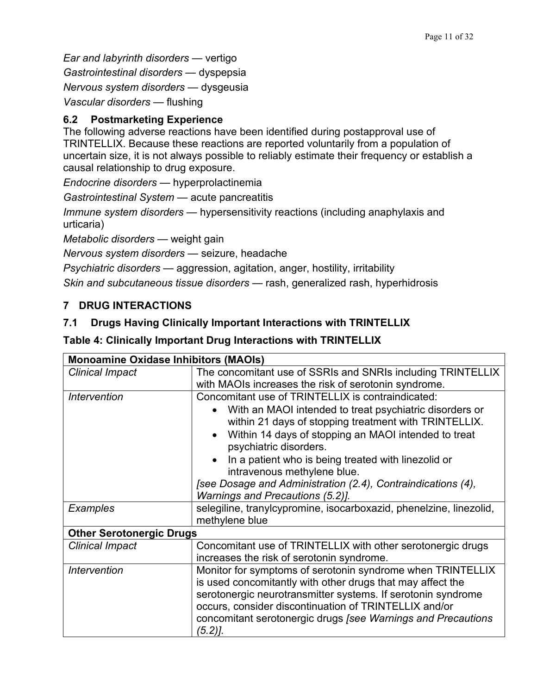# **6.2 Postmarketing Experience**

The following adverse reactions have been identified during postapproval use of TRINTELLIX. Because these reactions are reported voluntarily from a population of uncertain size, it is not always possible to reliably estimate their frequency or establish a causal relationship to drug exposure.

*Endocrine disorders —* hyperprolactinemia

*Gastrointestinal System —* acute pancreatitis

*Immune system disorders —* hypersensitivity reactions (including anaphylaxis and urticaria)

*Metabolic disorders —* weight gain

*Nervous system disorders —* seizure, headache

*Psychiatric disorders —* aggression, agitation, anger, hostility, irritability

*Skin and subcutaneous tissue disorders —* rash, generalized rash, hyperhidrosis

# **7 DRUG INTERACTIONS**

# **7.1 Drugs Having Clinically Important Interactions with TRINTELLIX**

## **Table 4: Clinically Important Drug Interactions with TRINTELLIX**

| <b>Monoamine Oxidase Inhibitors (MAOIs)</b> |                                                                                                                                                                                                                                                                                                                                 |  |
|---------------------------------------------|---------------------------------------------------------------------------------------------------------------------------------------------------------------------------------------------------------------------------------------------------------------------------------------------------------------------------------|--|
| <b>Clinical Impact</b>                      | The concomitant use of SSRIs and SNRIs including TRINTELLIX                                                                                                                                                                                                                                                                     |  |
|                                             | with MAOIs increases the risk of serotonin syndrome.                                                                                                                                                                                                                                                                            |  |
| <b>Intervention</b>                         | Concomitant use of TRINTELLIX is contraindicated:                                                                                                                                                                                                                                                                               |  |
|                                             | With an MAOI intended to treat psychiatric disorders or<br>$\bullet$<br>within 21 days of stopping treatment with TRINTELLIX.<br>Within 14 days of stopping an MAOI intended to treat<br>psychiatric disorders.                                                                                                                 |  |
|                                             | In a patient who is being treated with linezolid or<br>intravenous methylene blue.                                                                                                                                                                                                                                              |  |
|                                             | [see Dosage and Administration (2.4), Contraindications (4),<br>Warnings and Precautions (5.2)].                                                                                                                                                                                                                                |  |
| Examples                                    | selegiline, tranylcypromine, isocarboxazid, phenelzine, linezolid,<br>methylene blue                                                                                                                                                                                                                                            |  |
| <b>Other Serotonergic Drugs</b>             |                                                                                                                                                                                                                                                                                                                                 |  |
| <b>Clinical Impact</b>                      | Concomitant use of TRINTELLIX with other serotonergic drugs<br>increases the risk of serotonin syndrome.                                                                                                                                                                                                                        |  |
| <b>Intervention</b>                         | Monitor for symptoms of serotonin syndrome when TRINTELLIX<br>is used concomitantly with other drugs that may affect the<br>serotonergic neurotransmitter systems. If serotonin syndrome<br>occurs, consider discontinuation of TRINTELLIX and/or<br>concomitant serotonergic drugs [see Warnings and Precautions<br>$(5.2)$ ]. |  |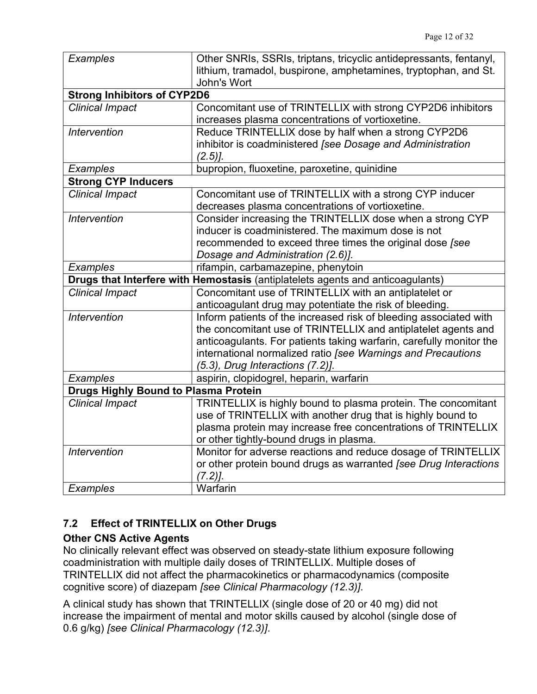| Examples                                    | Other SNRIs, SSRIs, triptans, tricyclic antidepressants, fentanyl,<br>lithium, tramadol, buspirone, amphetamines, tryptophan, and St.<br>John's Wort |
|---------------------------------------------|------------------------------------------------------------------------------------------------------------------------------------------------------|
| <b>Strong Inhibitors of CYP2D6</b>          |                                                                                                                                                      |
| <b>Clinical Impact</b>                      | Concomitant use of TRINTELLIX with strong CYP2D6 inhibitors<br>increases plasma concentrations of vortioxetine.                                      |
| Intervention                                | Reduce TRINTELLIX dose by half when a strong CYP2D6                                                                                                  |
|                                             | inhibitor is coadministered [see Dosage and Administration<br>$(2.5)$ .                                                                              |
| Examples                                    | bupropion, fluoxetine, paroxetine, quinidine                                                                                                         |
| <b>Strong CYP Inducers</b>                  |                                                                                                                                                      |
| <b>Clinical Impact</b>                      | Concomitant use of TRINTELLIX with a strong CYP inducer                                                                                              |
|                                             | decreases plasma concentrations of vortioxetine.                                                                                                     |
| Intervention                                | Consider increasing the TRINTELLIX dose when a strong CYP<br>inducer is coadministered. The maximum dose is not                                      |
|                                             | recommended to exceed three times the original dose [see                                                                                             |
|                                             | Dosage and Administration (2.6)].                                                                                                                    |
| Examples                                    | rifampin, carbamazepine, phenytoin                                                                                                                   |
|                                             | Drugs that Interfere with Hemostasis (antiplatelets agents and anticoagulants)                                                                       |
| <b>Clinical Impact</b>                      | Concomitant use of TRINTELLIX with an antiplatelet or                                                                                                |
|                                             | anticoagulant drug may potentiate the risk of bleeding.                                                                                              |
| Intervention                                | Inform patients of the increased risk of bleeding associated with                                                                                    |
|                                             | the concomitant use of TRINTELLIX and antiplatelet agents and                                                                                        |
|                                             | anticoagulants. For patients taking warfarin, carefully monitor the                                                                                  |
|                                             | international normalized ratio [see Warnings and Precautions                                                                                         |
|                                             | (5.3), Drug Interactions (7.2)].                                                                                                                     |
| Examples                                    | aspirin, clopidogrel, heparin, warfarin                                                                                                              |
| <b>Drugs Highly Bound to Plasma Protein</b> |                                                                                                                                                      |
| <b>Clinical Impact</b>                      | TRINTELLIX is highly bound to plasma protein. The concomitant                                                                                        |
|                                             | use of TRINTELLIX with another drug that is highly bound to                                                                                          |
|                                             | plasma protein may increase free concentrations of TRINTELLIX                                                                                        |
|                                             | or other tightly-bound drugs in plasma.                                                                                                              |
| Intervention                                | Monitor for adverse reactions and reduce dosage of TRINTELLIX                                                                                        |
|                                             | or other protein bound drugs as warranted [see Drug Interactions                                                                                     |
|                                             | $(7.2)$ ].                                                                                                                                           |
| <b>Examples</b>                             | Warfarin                                                                                                                                             |

## **7.2 Effect of TRINTELLIX on Other Drugs**

## **Other CNS Active Agents**

No clinically relevant effect was observed on steady-state lithium exposure following coadministration with multiple daily doses of TRINTELLIX. Multiple doses of TRINTELLIX did not affect the pharmacokinetics or pharmacodynamics (composite cognitive score) of diazepam *[see Clinical Pharmacology (12.3)]*.

A clinical study has shown that TRINTELLIX (single dose of 20 or 40 mg) did not increase the impairment of mental and motor skills caused by alcohol (single dose of 0.6 g/kg) *[see Clinical Pharmacology (12.3)]*.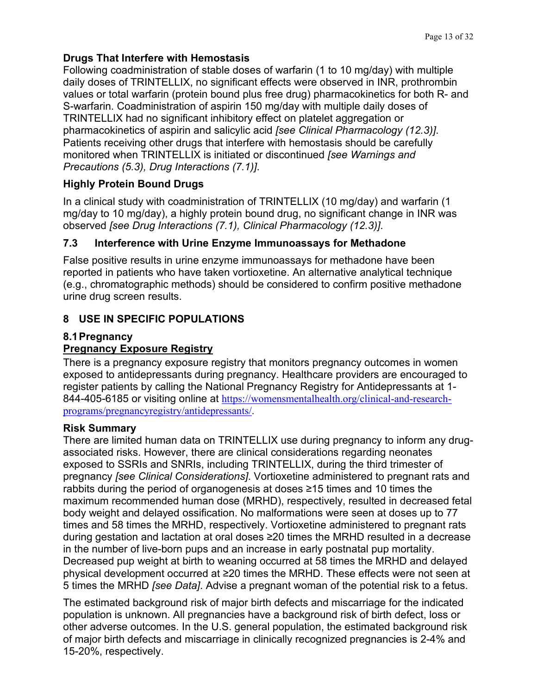## **Drugs That Interfere with Hemostasis**

Following coadministration of stable doses of warfarin (1 to 10 mg/day) with multiple daily doses of TRINTELLIX, no significant effects were observed in INR, prothrombin values or total warfarin (protein bound plus free drug) pharmacokinetics for both R- and S-warfarin. Coadministration of aspirin 150 mg/day with multiple daily doses of TRINTELLIX had no significant inhibitory effect on platelet aggregation or pharmacokinetics of aspirin and salicylic acid *[see Clinical Pharmacology (12.3)]*. Patients receiving other drugs that interfere with hemostasis should be carefully monitored when TRINTELLIX is initiated or discontinued *[see Warnings and Precautions (5.3), Drug Interactions (7.1)]*.

## **Highly Protein Bound Drugs**

In a clinical study with coadministration of TRINTELLIX (10 mg/day) and warfarin (1 mg/day to 10 mg/day), a highly protein bound drug, no significant change in INR was observed *[see Drug Interactions (7.1), Clinical Pharmacology (12.3)]*.

## **7.3 Interference with Urine Enzyme Immunoassays for Methadone**

False positive results in urine enzyme immunoassays for methadone have been reported in patients who have taken vortioxetine. An alternative analytical technique (e.g., chromatographic methods) should be considered to confirm positive methadone urine drug screen results.

## **8 USE IN SPECIFIC POPULATIONS**

## **8.1Pregnancy Pregnancy Exposure Registry**

There is a pregnancy exposure registry that monitors pregnancy outcomes in women exposed to antidepressants during pregnancy. Healthcare providers are encouraged to register patients by calling the National Pregnancy Registry for Antidepressants at 1- 844-405-6185 or visiting online at https://womensmentalhealth.org/clinical-and-researchprograms/pregnancyregistry/antidepressants/.

## **Risk Summary**

There are limited human data on TRINTELLIX use during pregnancy to inform any drugassociated risks. However, there are clinical considerations regarding neonates exposed to SSRIs and SNRIs, including TRINTELLIX, during the third trimester of pregnancy *[see Clinical Considerations]*. Vortioxetine administered to pregnant rats and rabbits during the period of organogenesis at doses ≥15 times and 10 times the maximum recommended human dose (MRHD), respectively, resulted in decreased fetal body weight and delayed ossification. No malformations were seen at doses up to 77 times and 58 times the MRHD, respectively. Vortioxetine administered to pregnant rats during gestation and lactation at oral doses ≥20 times the MRHD resulted in a decrease in the number of live-born pups and an increase in early postnatal pup mortality. Decreased pup weight at birth to weaning occurred at 58 times the MRHD and delayed physical development occurred at ≥20 times the MRHD. These effects were not seen at 5 times the MRHD *[see Data]*. Advise a pregnant woman of the potential risk to a fetus.

The estimated background risk of major birth defects and miscarriage for the indicated population is unknown. All pregnancies have a background risk of birth defect, loss or other adverse outcomes. In the U.S. general population, the estimated background risk of major birth defects and miscarriage in clinically recognized pregnancies is 2-4% and 15-20%, respectively.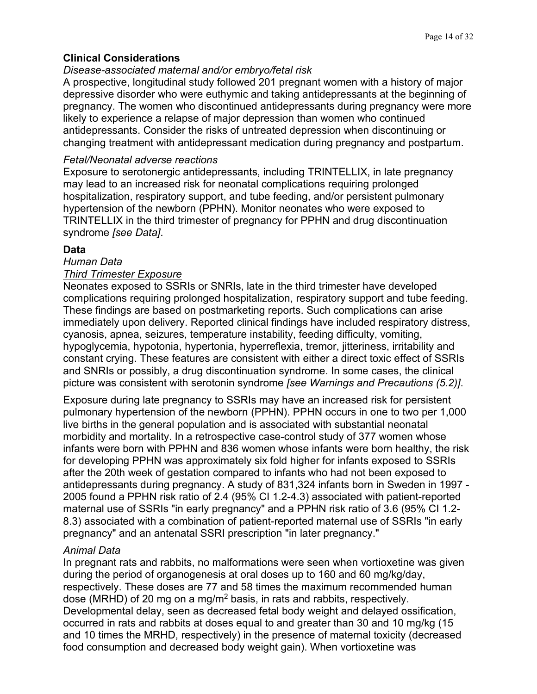## **Clinical Considerations**

## *Disease-associated maternal and/or embryo/fetal risk*

A prospective, longitudinal study followed 201 pregnant women with a history of major depressive disorder who were euthymic and taking antidepressants at the beginning of pregnancy. The women who discontinued antidepressants during pregnancy were more likely to experience a relapse of major depression than women who continued antidepressants. Consider the risks of untreated depression when discontinuing or changing treatment with antidepressant medication during pregnancy and postpartum.

## *Fetal/Neonatal adverse reactions*

Exposure to serotonergic antidepressants, including TRINTELLIX, in late pregnancy may lead to an increased risk for neonatal complications requiring prolonged hospitalization, respiratory support, and tube feeding, and/or persistent pulmonary hypertension of the newborn (PPHN). Monitor neonates who were exposed to TRINTELLIX in the third trimester of pregnancy for PPHN and drug discontinuation syndrome *[see Data]*.

## **Data**

## *Human Data*

## *Third Trimester Exposure*

Neonates exposed to SSRIs or SNRIs, late in the third trimester have developed complications requiring prolonged hospitalization, respiratory support and tube feeding. These findings are based on postmarketing reports. Such complications can arise immediately upon delivery. Reported clinical findings have included respiratory distress, cyanosis, apnea, seizures, temperature instability, feeding difficulty, vomiting, hypoglycemia, hypotonia, hypertonia, hyperreflexia, tremor, jitteriness, irritability and constant crying. These features are consistent with either a direct toxic effect of SSRIs and SNRIs or possibly, a drug discontinuation syndrome. In some cases, the clinical picture was consistent with serotonin syndrome *[see Warnings and Precautions (5.2)]*.

Exposure during late pregnancy to SSRIs may have an increased risk for persistent pulmonary hypertension of the newborn (PPHN). PPHN occurs in one to two per 1,000 live births in the general population and is associated with substantial neonatal morbidity and mortality. In a retrospective case-control study of 377 women whose infants were born with PPHN and 836 women whose infants were born healthy, the risk for developing PPHN was approximately six fold higher for infants exposed to SSRIs after the 20th week of gestation compared to infants who had not been exposed to antidepressants during pregnancy. A study of 831,324 infants born in Sweden in 1997 - 2005 found a PPHN risk ratio of 2.4 (95% CI 1.2-4.3) associated with patient-reported maternal use of SSRIs "in early pregnancy" and a PPHN risk ratio of 3.6 (95% CI 1.2- 8.3) associated with a combination of patient-reported maternal use of SSRIs "in early pregnancy" and an antenatal SSRI prescription "in later pregnancy."

## *Animal Data*

In pregnant rats and rabbits, no malformations were seen when vortioxetine was given during the period of organogenesis at oral doses up to 160 and 60 mg/kg/day, respectively. These doses are 77 and 58 times the maximum recommended human dose (MRHD) of 20 mg on a mg/m2 basis, in rats and rabbits, respectively. Developmental delay, seen as decreased fetal body weight and delayed ossification, occurred in rats and rabbits at doses equal to and greater than 30 and 10 mg/kg (15 and 10 times the MRHD, respectively) in the presence of maternal toxicity (decreased food consumption and decreased body weight gain). When vortioxetine was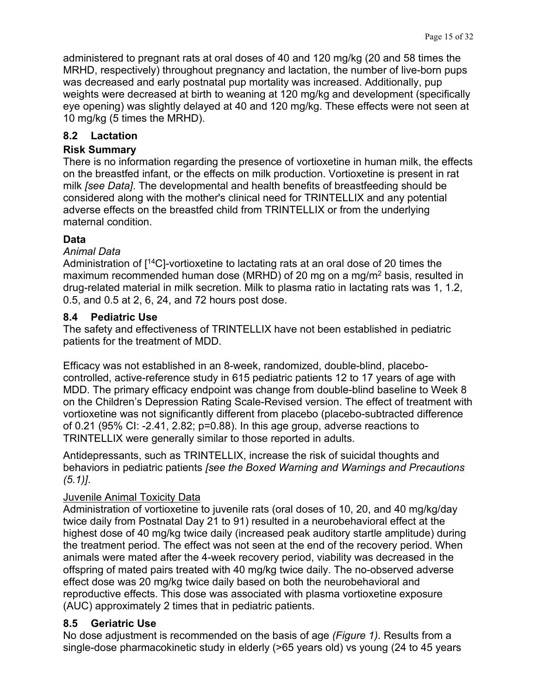administered to pregnant rats at oral doses of 40 and 120 mg/kg (20 and 58 times the MRHD, respectively) throughout pregnancy and lactation, the number of live-born pups was decreased and early postnatal pup mortality was increased. Additionally, pup weights were decreased at birth to weaning at 120 mg/kg and development (specifically eye opening) was slightly delayed at 40 and 120 mg/kg. These effects were not seen at 10 mg/kg (5 times the MRHD).

## **8.2 Lactation**

## **Risk Summary**

There is no information regarding the presence of vortioxetine in human milk, the effects on the breastfed infant, or the effects on milk production. Vortioxetine is present in rat milk *[see Data]*. The developmental and health benefits of breastfeeding should be considered along with the mother's clinical need for TRINTELLIX and any potential adverse effects on the breastfed child from TRINTELLIX or from the underlying maternal condition.

## **Data**

## *Animal Data*

Administration of [14C]-vortioxetine to lactating rats at an oral dose of 20 times the maximum recommended human dose (MRHD) of 20 mg on a mg/m<sup>2</sup> basis, resulted in drug-related material in milk secretion. Milk to plasma ratio in lactating rats was 1, 1.2, 0.5, and 0.5 at 2, 6, 24, and 72 hours post dose.

## **8.4 Pediatric Use**

The safety and effectiveness of TRINTELLIX have not been established in pediatric patients for the treatment of MDD.

Efficacy was not established in an 8-week, randomized, double-blind, placebocontrolled, active-reference study in 615 pediatric patients 12 to 17 years of age with MDD. The primary efficacy endpoint was change from double-blind baseline to Week 8 on the Children's Depression Rating Scale-Revised version. The effect of treatment with vortioxetine was not significantly different from placebo (placebo-subtracted difference of 0.21 (95% CI: -2.41, 2.82; p=0.88). In this age group, adverse reactions to TRINTELLIX were generally similar to those reported in adults.

Antidepressants, such as TRINTELLIX, increase the risk of suicidal thoughts and behaviors in pediatric patients *[see the Boxed Warning and Warnings and Precautions (5.1)]*.

## Juvenile Animal Toxicity Data

Administration of vortioxetine to juvenile rats (oral doses of 10, 20, and 40 mg/kg/day twice daily from Postnatal Day 21 to 91) resulted in a neurobehavioral effect at the highest dose of 40 mg/kg twice daily (increased peak auditory startle amplitude) during the treatment period. The effect was not seen at the end of the recovery period. When animals were mated after the 4-week recovery period, viability was decreased in the offspring of mated pairs treated with 40 mg/kg twice daily. The no-observed adverse effect dose was 20 mg/kg twice daily based on both the neurobehavioral and reproductive effects. This dose was associated with plasma vortioxetine exposure (AUC) approximately 2 times that in pediatric patients.

## **8.5 Geriatric Use**

No dose adjustment is recommended on the basis of age *(Figure 1)*. Results from a single-dose pharmacokinetic study in elderly (>65 years old) vs young (24 to 45 years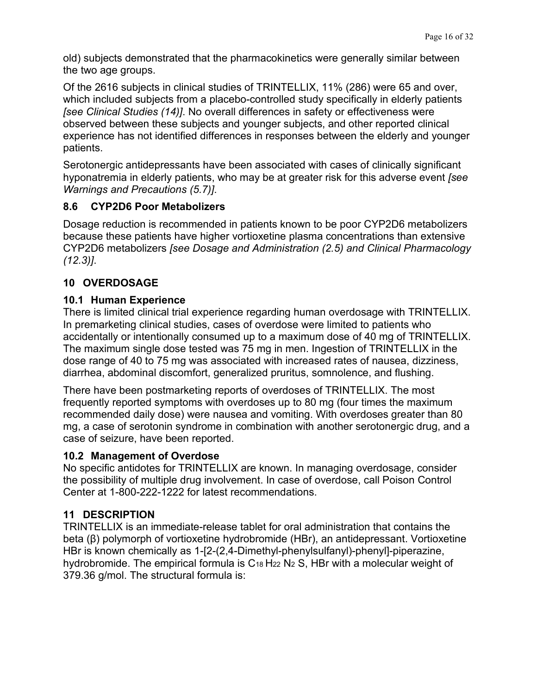old) subjects demonstrated that the pharmacokinetics were generally similar between the two age groups.

Of the 2616 subjects in clinical studies of TRINTELLIX, 11% (286) were 65 and over, which included subjects from a placebo-controlled study specifically in elderly patients *[see Clinical Studies (14)]*. No overall differences in safety or effectiveness were observed between these subjects and younger subjects, and other reported clinical experience has not identified differences in responses between the elderly and younger patients.

Serotonergic antidepressants have been associated with cases of clinically significant hyponatremia in elderly patients, who may be at greater risk for this adverse event *[see Warnings and Precautions (5.7)]*.

## **8.6 CYP2D6 Poor Metabolizers**

Dosage reduction is recommended in patients known to be poor CYP2D6 metabolizers because these patients have higher vortioxetine plasma concentrations than extensive CYP2D6 metabolizers *[see Dosage and Administration (2.5) and Clinical Pharmacology (12.3)]*.

# **10 OVERDOSAGE**

## **10.1 Human Experience**

There is limited clinical trial experience regarding human overdosage with TRINTELLIX. In premarketing clinical studies, cases of overdose were limited to patients who accidentally or intentionally consumed up to a maximum dose of 40 mg of TRINTELLIX. The maximum single dose tested was 75 mg in men. Ingestion of TRINTELLIX in the dose range of 40 to 75 mg was associated with increased rates of nausea, dizziness, diarrhea, abdominal discomfort, generalized pruritus, somnolence, and flushing.

There have been postmarketing reports of overdoses of TRINTELLIX. The most frequently reported symptoms with overdoses up to 80 mg (four times the maximum recommended daily dose) were nausea and vomiting. With overdoses greater than 80 mg, a case of serotonin syndrome in combination with another serotonergic drug, and a case of seizure, have been reported.

# **10.2 Management of Overdose**

No specific antidotes for TRINTELLIX are known. In managing overdosage, consider the possibility of multiple drug involvement. In case of overdose, call Poison Control Center at 1-800-222-1222 for latest recommendations.

# **11 DESCRIPTION**

TRINTELLIX is an immediate-release tablet for oral administration that contains the beta (β) polymorph of vortioxetine hydrobromide (HBr), an antidepressant. Vortioxetine HBr is known chemically as 1-[2-(2,4-Dimethyl-phenylsulfanyl)-phenyl]-piperazine, hydrobromide. The empirical formula is  $C_{18}$  H<sub>22</sub> N<sub>2</sub> S, HBr with a molecular weight of 379.36 g/mol. The structural formula is: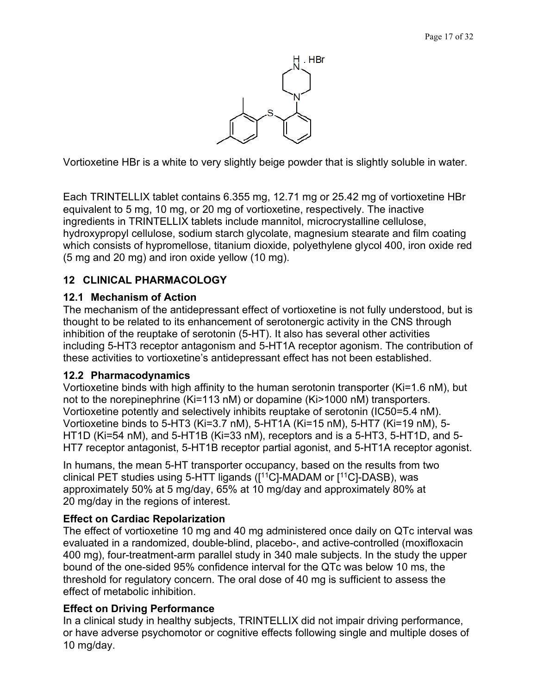

Vortioxetine HBr is a white to very slightly beige powder that is slightly soluble in water.

Each TRINTELLIX tablet contains 6.355 mg, 12.71 mg or 25.42 mg of vortioxetine HBr equivalent to 5 mg, 10 mg, or 20 mg of vortioxetine, respectively. The inactive ingredients in TRINTELLIX tablets include mannitol, microcrystalline cellulose, hydroxypropyl cellulose, sodium starch glycolate, magnesium stearate and film coating which consists of hypromellose, titanium dioxide, polyethylene glycol 400, iron oxide red (5 mg and 20 mg) and iron oxide yellow (10 mg).

## **12 CLINICAL PHARMACOLOGY**

## **12.1 Mechanism of Action**

The mechanism of the antidepressant effect of vortioxetine is not fully understood, but is thought to be related to its enhancement of serotonergic activity in the CNS through inhibition of the reuptake of serotonin (5-HT). It also has several other activities including 5-HT3 receptor antagonism and 5-HT1A receptor agonism. The contribution of these activities to vortioxetine's antidepressant effect has not been established.

## **12.2 Pharmacodynamics**

Vortioxetine binds with high affinity to the human serotonin transporter (Ki=1.6 nM), but not to the norepinephrine (Ki=113 nM) or dopamine (Ki>1000 nM) transporters. Vortioxetine potently and selectively inhibits reuptake of serotonin (IC50=5.4 nM). Vortioxetine binds to 5-HT3 (Ki=3.7 nM), 5-HT1A (Ki=15 nM), 5-HT7 (Ki=19 nM), 5- HT1D (Ki=54 nM), and 5-HT1B (Ki=33 nM), receptors and is a 5-HT3, 5-HT1D, and 5- HT7 receptor antagonist, 5-HT1B receptor partial agonist, and 5-HT1A receptor agonist.

In humans, the mean 5-HT transporter occupancy, based on the results from two clinical PET studies using 5-HTT ligands  $(I<sup>11</sup>C]$ -MADAM or  $I<sup>11</sup>C$ ]-DASB), was approximately 50% at 5 mg/day, 65% at 10 mg/day and approximately 80% at 20 mg/day in the regions of interest.

## **Effect on Cardiac Repolarization**

The effect of vortioxetine 10 mg and 40 mg administered once daily on QTc interval was evaluated in a randomized, double-blind, placebo-, and active-controlled (moxifloxacin 400 mg), four-treatment-arm parallel study in 340 male subjects. In the study the upper bound of the one-sided 95% confidence interval for the QTc was below 10 ms, the threshold for regulatory concern. The oral dose of 40 mg is sufficient to assess the effect of metabolic inhibition.

## **Effect on Driving Performance**

In a clinical study in healthy subjects, TRINTELLIX did not impair driving performance, or have adverse psychomotor or cognitive effects following single and multiple doses of 10 mg/day.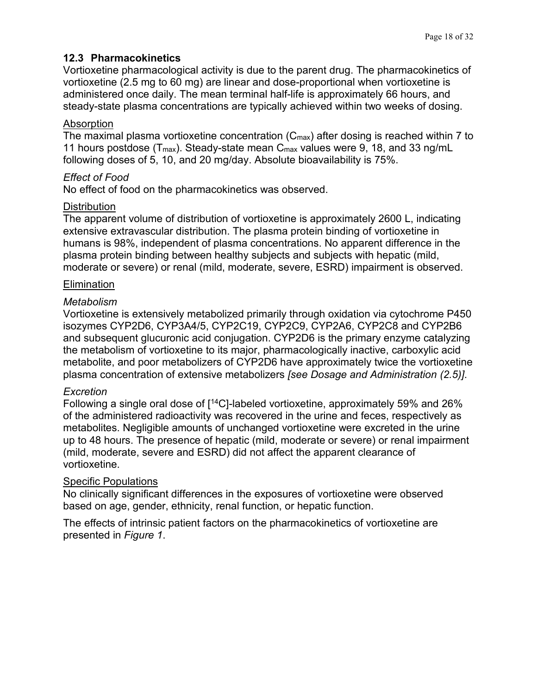## **12.3 Pharmacokinetics**

Vortioxetine pharmacological activity is due to the parent drug. The pharmacokinetics of vortioxetine (2.5 mg to 60 mg) are linear and dose-proportional when vortioxetine is administered once daily. The mean terminal half-life is approximately 66 hours, and steady-state plasma concentrations are typically achieved within two weeks of dosing.

## **Absorption**

The maximal plasma vortioxetine concentration  $(C_{\text{max}})$  after dosing is reached within 7 to 11 hours postdose  $(T_{max})$ . Steady-state mean  $C_{max}$  values were 9, 18, and 33 ng/mL following doses of 5, 10, and 20 mg/day. Absolute bioavailability is 75%.

## *Effect of Food*

No effect of food on the pharmacokinetics was observed.

## **Distribution**

The apparent volume of distribution of vortioxetine is approximately 2600 L, indicating extensive extravascular distribution. The plasma protein binding of vortioxetine in humans is 98%, independent of plasma concentrations. No apparent difference in the plasma protein binding between healthy subjects and subjects with hepatic (mild, moderate or severe) or renal (mild, moderate, severe, ESRD) impairment is observed.

## **Elimination**

## *Metabolism*

Vortioxetine is extensively metabolized primarily through oxidation via cytochrome P450 isozymes CYP2D6, CYP3A4/5, CYP2C19, CYP2C9, CYP2A6, CYP2C8 and CYP2B6 and subsequent glucuronic acid conjugation. CYP2D6 is the primary enzyme catalyzing the metabolism of vortioxetine to its major, pharmacologically inactive, carboxylic acid metabolite, and poor metabolizers of CYP2D6 have approximately twice the vortioxetine plasma concentration of extensive metabolizers *[see Dosage and Administration (2.5)]*.

## *Excretion*

Following a single oral dose of  $1^4$ C<sub>1</sub>-labeled vortioxetine, approximately 59% and 26% of the administered radioactivity was recovered in the urine and feces, respectively as metabolites. Negligible amounts of unchanged vortioxetine were excreted in the urine up to 48 hours. The presence of hepatic (mild, moderate or severe) or renal impairment (mild, moderate, severe and ESRD) did not affect the apparent clearance of vortioxetine.

## Specific Populations

No clinically significant differences in the exposures of vortioxetine were observed based on age, gender, ethnicity, renal function, or hepatic function.

The effects of intrinsic patient factors on the pharmacokinetics of vortioxetine are presented in *Figure 1*.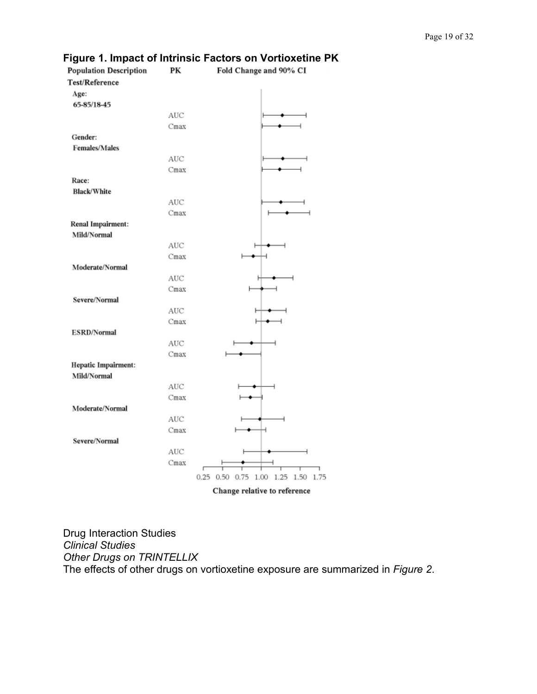| <b>Population Description</b> | PК   | Fold Change and 90% CI             |
|-------------------------------|------|------------------------------------|
| Test/Reference                |      |                                    |
| Age:                          |      |                                    |
| 65-85/18-45                   |      |                                    |
|                               | AUC  | ⊣                                  |
|                               | Cmax | ⊣                                  |
| Gender:                       |      |                                    |
| <b>Females/Males</b>          |      |                                    |
|                               | AUC  | ⊣                                  |
|                               | Cmax |                                    |
| Race:                         |      |                                    |
| <b>Black/White</b>            |      |                                    |
|                               | AUC  |                                    |
|                               | Cmax |                                    |
| Renal Impairment:             |      |                                    |
| Mild/Normal                   |      |                                    |
|                               | AUC  |                                    |
|                               | Cmax | 4                                  |
| Moderate/Normal               |      |                                    |
|                               | AUC  | ┫                                  |
|                               | Cmax |                                    |
| Severe/Normal                 |      |                                    |
|                               | AUC  | $\overline{\phantom{a}}$           |
|                               | Cmax | $\overline{\phantom{0}}$           |
| <b>ESRD/Normal</b>            |      |                                    |
|                               | AUC  |                                    |
|                               | Cmax |                                    |
| <b>Hepatic Impairment:</b>    |      |                                    |
| Mild/Normal                   |      |                                    |
|                               | AUC  |                                    |
|                               | Cmax |                                    |
| Moderate/Normal               |      |                                    |
|                               | AUC  |                                    |
|                               | Cmax | $\overline{\phantom{0}}$           |
| Severe/Normal                 |      |                                    |
|                               | AUC  |                                    |
|                               | Cmax |                                    |
|                               |      | 0.25 0.50 0.75 1.00 1.25 1.50 1.75 |
|                               |      | Change relative to reference       |
|                               |      |                                    |

## **Figure 1. Impact of Intrinsic Factors on Vortioxetine PK**

Drug Interaction Studies *Clinical Studies Other Drugs on TRINTELLIX* The effects of other drugs on vortioxetine exposure are summarized in *Figure 2*.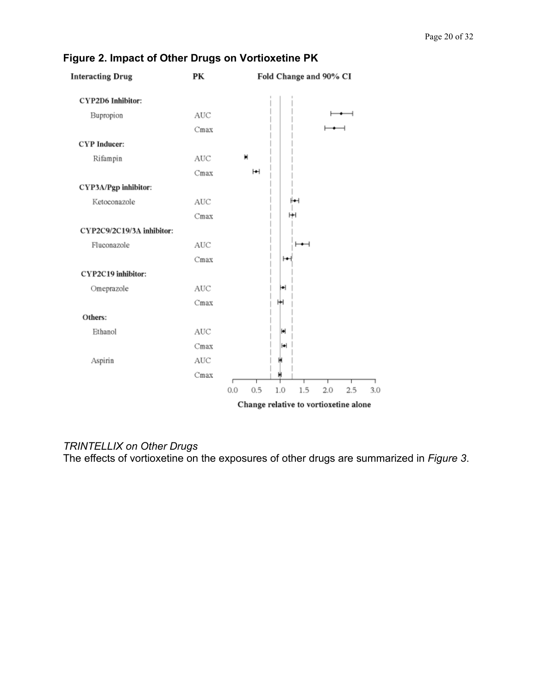

## **Figure 2. Impact of Other Drugs on Vortioxetine PK**

## *TRINTELLIX on Other Drugs*

The effects of vortioxetine on the exposures of other drugs are summarized in *Figure 3*.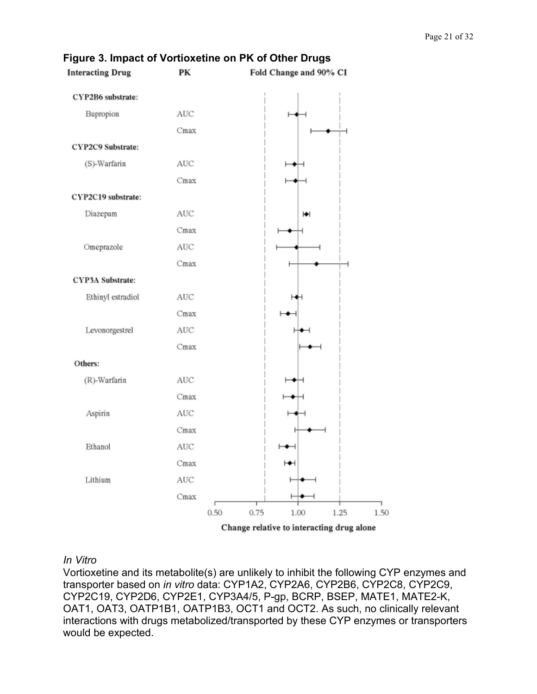

### **Figure 3. Impact of Vortioxetine on PK of Other Drugs**

### *In Vitro*

Vortioxetine and its metabolite(s) are unlikely to inhibit the following CYP enzymes and transporter based on *in vitro* data: CYP1A2, CYP2A6, CYP2B6, CYP2C8, CYP2C9, CYP2C19, CYP2D6, CYP2E1, CYP3A4/5, P-gp, BCRP, BSEP, MATE1, MATE2-K, OAT1, OAT3, OATP1B1, OATP1B3, OCT1 and OCT2. As such, no clinically relevant interactions with drugs metabolized/transported by these CYP enzymes or transporters would be expected.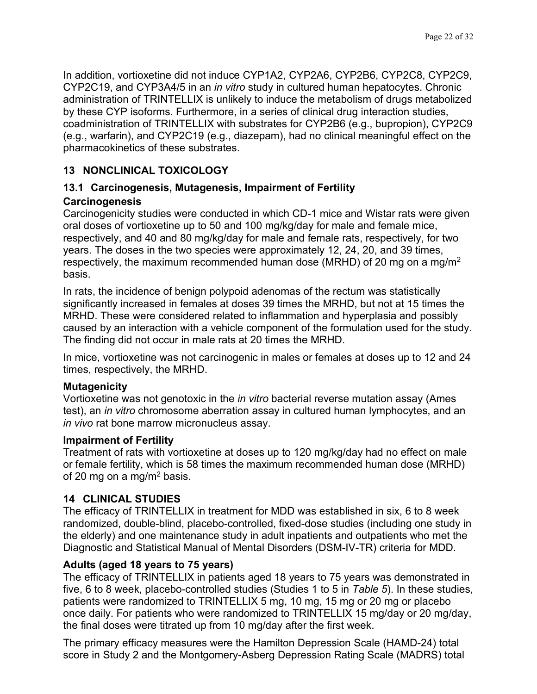In addition, vortioxetine did not induce CYP1A2, CYP2A6, CYP2B6, CYP2C8, CYP2C9, CYP2C19, and CYP3A4/5 in an *in vitro* study in cultured human hepatocytes. Chronic administration of TRINTELLIX is unlikely to induce the metabolism of drugs metabolized by these CYP isoforms. Furthermore, in a series of clinical drug interaction studies, coadministration of TRINTELLIX with substrates for CYP2B6 (e.g., bupropion), CYP2C9 (e.g., warfarin), and CYP2C19 (e.g., diazepam), had no clinical meaningful effect on the pharmacokinetics of these substrates.

## **13 NONCLINICAL TOXICOLOGY**

## **13.1 Carcinogenesis, Mutagenesis, Impairment of Fertility Carcinogenesis**

Carcinogenicity studies were conducted in which CD-1 mice and Wistar rats were given oral doses of vortioxetine up to 50 and 100 mg/kg/day for male and female mice, respectively, and 40 and 80 mg/kg/day for male and female rats, respectively, for two years. The doses in the two species were approximately 12, 24, 20, and 39 times, respectively, the maximum recommended human dose (MRHD) of 20 mg on a mg/m<sup>2</sup> basis.

In rats, the incidence of benign polypoid adenomas of the rectum was statistically significantly increased in females at doses 39 times the MRHD, but not at 15 times the MRHD. These were considered related to inflammation and hyperplasia and possibly caused by an interaction with a vehicle component of the formulation used for the study. The finding did not occur in male rats at 20 times the MRHD.

In mice, vortioxetine was not carcinogenic in males or females at doses up to 12 and 24 times, respectively, the MRHD.

## **Mutagenicity**

Vortioxetine was not genotoxic in the *in vitro* bacterial reverse mutation assay (Ames test), an *in vitro* chromosome aberration assay in cultured human lymphocytes, and an *in vivo* rat bone marrow micronucleus assay.

## **Impairment of Fertility**

Treatment of rats with vortioxetine at doses up to 120 mg/kg/day had no effect on male or female fertility, which is 58 times the maximum recommended human dose (MRHD) of 20 mg on a mg/m<sup>2</sup> basis.

## **14 CLINICAL STUDIES**

The efficacy of TRINTELLIX in treatment for MDD was established in six, 6 to 8 week randomized, double-blind, placebo-controlled, fixed-dose studies (including one study in the elderly) and one maintenance study in adult inpatients and outpatients who met the Diagnostic and Statistical Manual of Mental Disorders (DSM-IV-TR) criteria for MDD.

## **Adults (aged 18 years to 75 years)**

The efficacy of TRINTELLIX in patients aged 18 years to 75 years was demonstrated in five, 6 to 8 week, placebo-controlled studies (Studies 1 to 5 in *Table 5*). In these studies, patients were randomized to TRINTELLIX 5 mg, 10 mg, 15 mg or 20 mg or placebo once daily. For patients who were randomized to TRINTELLIX 15 mg/day or 20 mg/day, the final doses were titrated up from 10 mg/day after the first week.

The primary efficacy measures were the Hamilton Depression Scale (HAMD-24) total score in Study 2 and the Montgomery-Asberg Depression Rating Scale (MADRS) total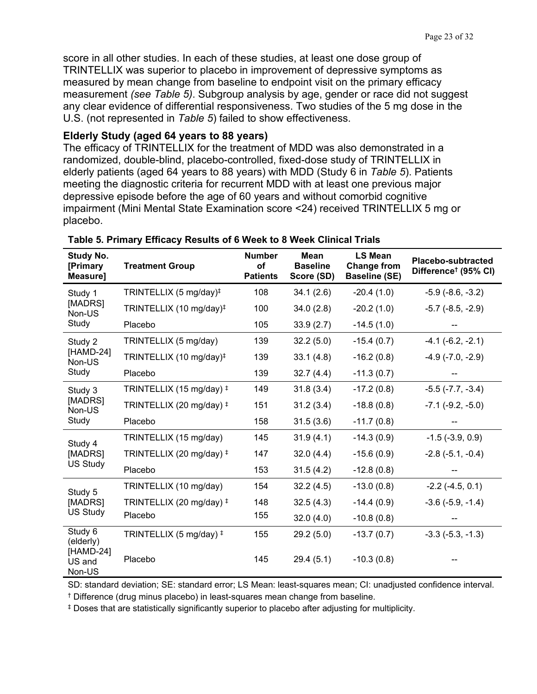score in all other studies. In each of these studies, at least one dose group of TRINTELLIX was superior to placebo in improvement of depressive symptoms as measured by mean change from baseline to endpoint visit on the primary efficacy measurement *(see Table 5)*. Subgroup analysis by age, gender or race did not suggest any clear evidence of differential responsiveness. Two studies of the 5 mg dose in the U.S. (not represented in *Table 5*) failed to show effectiveness.

### **Elderly Study (aged 64 years to 88 years)**

The efficacy of TRINTELLIX for the treatment of MDD was also demonstrated in a randomized, double-blind, placebo-controlled, fixed-dose study of TRINTELLIX in elderly patients (aged 64 years to 88 years) with MDD (Study 6 in *Table 5*). Patients meeting the diagnostic criteria for recurrent MDD with at least one previous major depressive episode before the age of 60 years and without comorbid cognitive impairment (Mini Mental State Examination score <24) received TRINTELLIX 5 mg or placebo.

| <b>Study No.</b><br>[Primary<br>Measure] | <b>Treatment Group</b>              | <b>Number</b><br>of<br><b>Patients</b> | <b>Mean</b><br><b>Baseline</b><br>Score (SD) | <b>LS Mean</b><br><b>Change from</b><br><b>Baseline (SE)</b> | Placebo-subtracted<br>Difference <sup>†</sup> (95% CI) |
|------------------------------------------|-------------------------------------|----------------------------------------|----------------------------------------------|--------------------------------------------------------------|--------------------------------------------------------|
| Study 1                                  | TRINTELLIX (5 mg/day) <sup>‡</sup>  | 108                                    | 34.1(2.6)                                    | $-20.4(1.0)$                                                 | $-5.9$ $(-8.6, -3.2)$                                  |
| [MADRS]<br>Non-US                        | TRINTELLIX (10 mg/day) <sup>‡</sup> | 100                                    | 34.0(2.8)                                    | $-20.2(1.0)$                                                 | $-5.7$ $(-8.5, -2.9)$                                  |
| Study                                    | Placebo                             | 105                                    | 33.9(2.7)                                    | $-14.5(1.0)$                                                 |                                                        |
| Study 2                                  | TRINTELLIX (5 mg/day)               | 139                                    | 32.2(5.0)                                    | $-15.4(0.7)$                                                 | $-4.1$ $(-6.2, -2.1)$                                  |
| [HAMD-24]<br>Non-US                      | TRINTELLIX (10 mg/day) <sup>‡</sup> | 139                                    | 33.1(4.8)                                    | $-16.2(0.8)$                                                 | $-4.9$ $(-7.0, -2.9)$                                  |
| Study                                    | Placebo                             | 139                                    | 32.7(4.4)                                    | $-11.3(0.7)$                                                 |                                                        |
| Study 3                                  | TRINTELLIX (15 mg/day) ‡            | 149                                    | 31.8(3.4)                                    | $-17.2(0.8)$                                                 | $-5.5$ $(-7.7, -3.4)$                                  |
| [MADRS]<br>Non-US<br>Study               | TRINTELLIX (20 mg/day) ‡            | 151                                    | 31.2(3.4)                                    | $-18.8(0.8)$                                                 | $-7.1$ $(-9.2, -5.0)$                                  |
|                                          | Placebo                             | 158                                    | 31.5(3.6)                                    | $-11.7(0.8)$                                                 |                                                        |
| Study 4                                  | TRINTELLIX (15 mg/day)              | 145                                    | 31.9(4.1)                                    | $-14.3(0.9)$                                                 | $-1.5$ ( $-3.9, 0.9$ )                                 |
| [MADRS]<br><b>US Study</b>               | TRINTELLIX (20 mg/day) ‡            | 147                                    | 32.0(4.4)                                    | $-15.6(0.9)$                                                 | $-2.8$ $(-5.1, -0.4)$                                  |
|                                          | Placebo                             | 153                                    | 31.5(4.2)                                    | $-12.8(0.8)$                                                 |                                                        |
| Study 5                                  | TRINTELLIX (10 mg/day)              | 154                                    | 32.2(4.5)                                    | $-13.0(0.8)$                                                 | $-2.2$ ( $-4.5, 0.1$ )                                 |
| [MADRS]                                  | TRINTELLIX (20 mg/day) ‡            | 148                                    | 32.5(4.3)                                    | $-14.4(0.9)$                                                 | $-3.6$ ( $-5.9$ , $-1.4$ )                             |
| <b>US Study</b>                          | Placebo                             | 155                                    | 32.0(4.0)                                    | $-10.8(0.8)$                                                 |                                                        |
| Study 6<br>(elderly)                     | TRINTELLIX (5 mg/day) ‡             | 155                                    | 29.2(5.0)                                    | $-13.7(0.7)$                                                 | $-3.3$ $(-5.3, -1.3)$                                  |
| [HAMD-24]<br>US and<br>Non-US            | Placebo                             | 145                                    | 29.4(5.1)                                    | $-10.3(0.8)$                                                 |                                                        |

### **Table 5. Primary Efficacy Results of 6 Week to 8 Week Clinical Trials**

SD: standard deviation; SE: standard error; LS Mean: least-squares mean; CI: unadjusted confidence interval.

† Difference (drug minus placebo) in least-squares mean change from baseline.

‡ Doses that are statistically significantly superior to placebo after adjusting for multiplicity.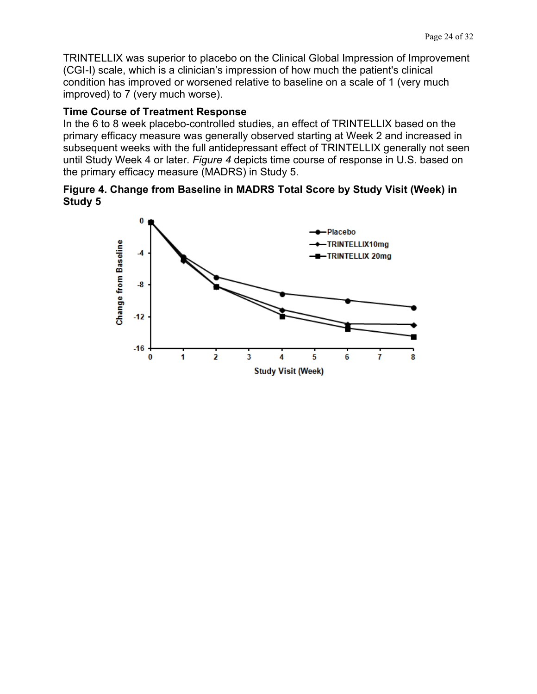TRINTELLIX was superior to placebo on the Clinical Global Impression of Improvement (CGI-I) scale, which is a clinician's impression of how much the patient's clinical condition has improved or worsened relative to baseline on a scale of 1 (very much improved) to 7 (very much worse).

### **Time Course of Treatment Response**

In the 6 to 8 week placebo-controlled studies, an effect of TRINTELLIX based on the primary efficacy measure was generally observed starting at Week 2 and increased in subsequent weeks with the full antidepressant effect of TRINTELLIX generally not seen until Study Week 4 or later. *Figure 4* depicts time course of response in U.S. based on the primary efficacy measure (MADRS) in Study 5.

### **Figure 4. Change from Baseline in MADRS Total Score by Study Visit (Week) in Study 5**

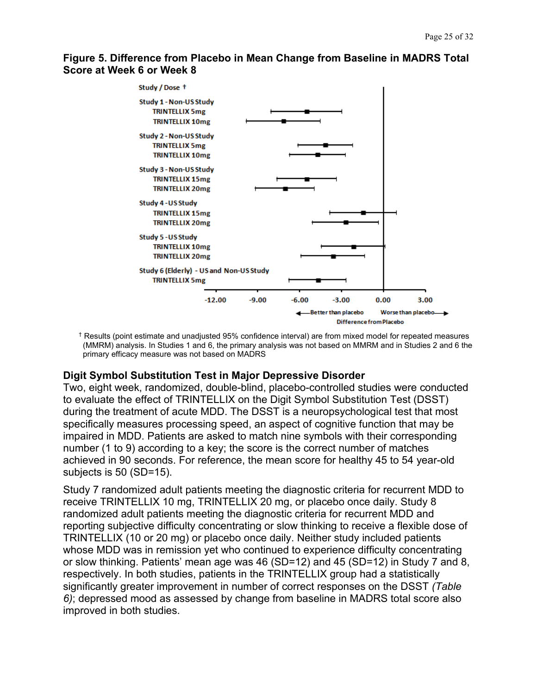### **Figure 5. Difference from Placebo in Mean Change from Baseline in MADRS Total Score at Week 6 or Week 8**



† Results (point estimate and unadjusted 95% confidence interval) are from mixed model for repeated measures (MMRM) analysis. In Studies 1 and 6, the primary analysis was not based on MMRM and in Studies 2 and 6 the primary efficacy measure was not based on MADRS

## **Digit Symbol Substitution Test in Major Depressive Disorder**

Two, eight week, randomized, double-blind, placebo-controlled studies were conducted to evaluate the effect of TRINTELLIX on the Digit Symbol Substitution Test (DSST) during the treatment of acute MDD. The DSST is a neuropsychological test that most specifically measures processing speed, an aspect of cognitive function that may be impaired in MDD. Patients are asked to match nine symbols with their corresponding number (1 to 9) according to a key; the score is the correct number of matches achieved in 90 seconds. For reference, the mean score for healthy 45 to 54 year-old subjects is 50 (SD=15).

Study 7 randomized adult patients meeting the diagnostic criteria for recurrent MDD to receive TRINTELLIX 10 mg, TRINTELLIX 20 mg, or placebo once daily. Study 8 randomized adult patients meeting the diagnostic criteria for recurrent MDD and reporting subjective difficulty concentrating or slow thinking to receive a flexible dose of TRINTELLIX (10 or 20 mg) or placebo once daily. Neither study included patients whose MDD was in remission yet who continued to experience difficulty concentrating or slow thinking. Patients' mean age was 46 (SD=12) and 45 (SD=12) in Study 7 and 8, respectively. In both studies, patients in the TRINTELLIX group had a statistically significantly greater improvement in number of correct responses on the DSST *(Table 6)*; depressed mood as assessed by change from baseline in MADRS total score also improved in both studies.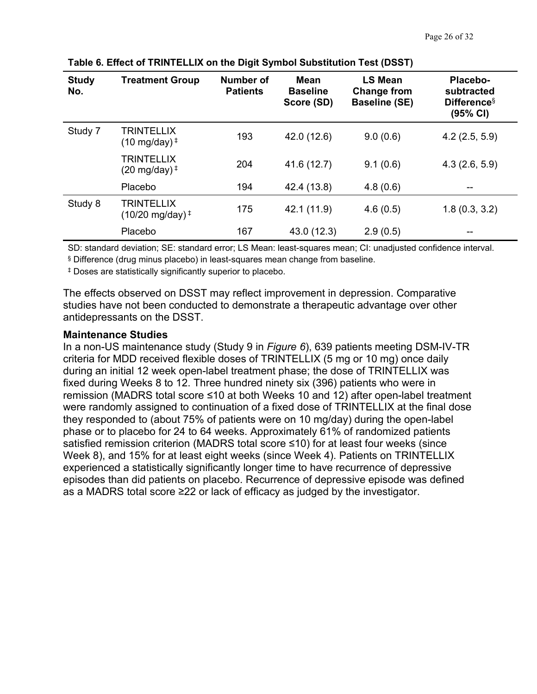| <b>Study</b><br>No. | <b>Treatment Group</b>                                   | Number of<br><b>Patients</b> | Mean<br><b>Baseline</b><br>Score (SD) | <b>LS Mean</b><br><b>Change from</b><br><b>Baseline (SE)</b> | Placebo-<br>subtracted<br>Difference $§$<br>(95% CI) |
|---------------------|----------------------------------------------------------|------------------------------|---------------------------------------|--------------------------------------------------------------|------------------------------------------------------|
| Study 7             | <b>TRINTELLIX</b><br>$(10 \text{ mg/day})^{\ddagger}$    | 193                          | 42.0 (12.6)                           | 9.0(0.6)                                                     | 4.2(2.5, 5.9)                                        |
|                     | <b>TRINTELLIX</b><br>(20 mg/day) $^{\ddagger}$           | 204                          | 41.6 (12.7)                           | 9.1(0.6)                                                     | 4.3(2.6, 5.9)                                        |
|                     | Placebo                                                  | 194                          | 42.4 (13.8)                           | 4.8(0.6)                                                     | --                                                   |
| Study 8             | <b>TRINTELLIX</b><br>$(10/20 \text{ mg/day})^{\ddagger}$ | 175                          | 42.1 (11.9)                           | 4.6(0.5)                                                     | 1.8(0.3, 3.2)                                        |
|                     | Placebo                                                  | 167                          | 43.0 (12.3)                           | 2.9(0.5)                                                     |                                                      |

**Table 6. Effect of TRINTELLIX on the Digit Symbol Substitution Test (DSST)**

SD: standard deviation; SE: standard error; LS Mean: least-squares mean; CI: unadjusted confidence interval.

§ Difference (drug minus placebo) in least-squares mean change from baseline.

‡ Doses are statistically significantly superior to placebo.

The effects observed on DSST may reflect improvement in depression. Comparative studies have not been conducted to demonstrate a therapeutic advantage over other antidepressants on the DSST.

### **Maintenance Studies**

In a non-US maintenance study (Study 9 in *Figure 6*), 639 patients meeting DSM-IV-TR criteria for MDD received flexible doses of TRINTELLIX (5 mg or 10 mg) once daily during an initial 12 week open-label treatment phase; the dose of TRINTELLIX was fixed during Weeks 8 to 12. Three hundred ninety six (396) patients who were in remission (MADRS total score ≤10 at both Weeks 10 and 12) after open-label treatment were randomly assigned to continuation of a fixed dose of TRINTELLIX at the final dose they responded to (about 75% of patients were on 10 mg/day) during the open-label phase or to placebo for 24 to 64 weeks. Approximately 61% of randomized patients satisfied remission criterion (MADRS total score ≤10) for at least four weeks (since Week 8), and 15% for at least eight weeks (since Week 4). Patients on TRINTELLIX experienced a statistically significantly longer time to have recurrence of depressive episodes than did patients on placebo. Recurrence of depressive episode was defined as a MADRS total score ≥22 or lack of efficacy as judged by the investigator.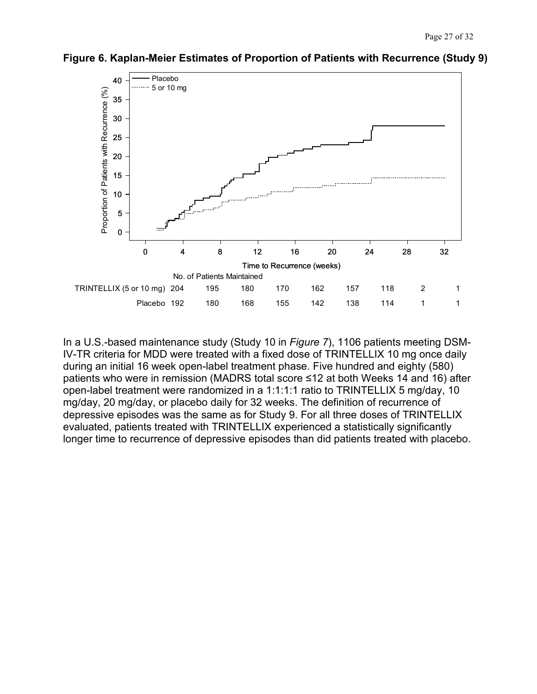

**Figure 6. Kaplan-Meier Estimates of Proportion of Patients with Recurrence (Study 9)**

In a U.S.-based maintenance study (Study 10 in *Figure 7*), 1106 patients meeting DSM-IV-TR criteria for MDD were treated with a fixed dose of TRINTELLIX 10 mg once daily during an initial 16 week open-label treatment phase. Five hundred and eighty (580) patients who were in remission (MADRS total score ≤12 at both Weeks 14 and 16) after open-label treatment were randomized in a 1:1:1:1 ratio to TRINTELLIX 5 mg/day, 10 mg/day, 20 mg/day, or placebo daily for 32 weeks. The definition of recurrence of depressive episodes was the same as for Study 9. For all three doses of TRINTELLIX evaluated, patients treated with TRINTELLIX experienced a statistically significantly longer time to recurrence of depressive episodes than did patients treated with placebo.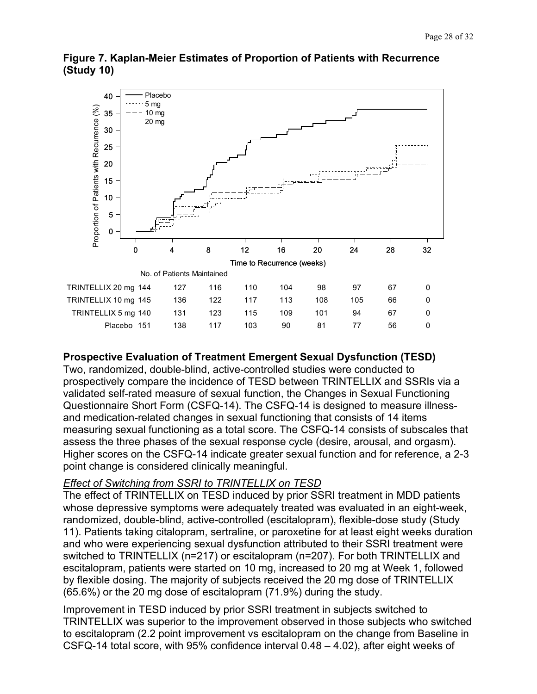

### **Figure 7. Kaplan-Meier Estimates of Proportion of Patients with Recurrence (Study 10)**

## **Prospective Evaluation of Treatment Emergent Sexual Dysfunction (TESD)**

Two, randomized, double-blind, active-controlled studies were conducted to prospectively compare the incidence of TESD between TRINTELLIX and SSRIs via a validated self-rated measure of sexual function, the Changes in Sexual Functioning Questionnaire Short Form (CSFQ-14). The CSFQ-14 is designed to measure illnessand medication-related changes in sexual functioning that consists of 14 items measuring sexual functioning as a total score. The CSFQ-14 consists of subscales that assess the three phases of the sexual response cycle (desire, arousal, and orgasm). Higher scores on the CSFQ-14 indicate greater sexual function and for reference, a 2-3 point change is considered clinically meaningful.

## *Effect of Switching from SSRI to TRINTELLIX on TESD*

The effect of TRINTELLIX on TESD induced by prior SSRI treatment in MDD patients whose depressive symptoms were adequately treated was evaluated in an eight-week, randomized, double-blind, active-controlled (escitalopram), flexible-dose study (Study 11). Patients taking citalopram, sertraline, or paroxetine for at least eight weeks duration and who were experiencing sexual dysfunction attributed to their SSRI treatment were switched to TRINTELLIX (n=217) or escitalopram (n=207). For both TRINTELLIX and escitalopram, patients were started on 10 mg, increased to 20 mg at Week 1, followed by flexible dosing. The majority of subjects received the 20 mg dose of TRINTELLIX (65.6%) or the 20 mg dose of escitalopram (71.9%) during the study.

Improvement in TESD induced by prior SSRI treatment in subjects switched to TRINTELLIX was superior to the improvement observed in those subjects who switched to escitalopram (2.2 point improvement vs escitalopram on the change from Baseline in CSFQ-14 total score, with 95% confidence interval 0.48 – 4.02), after eight weeks of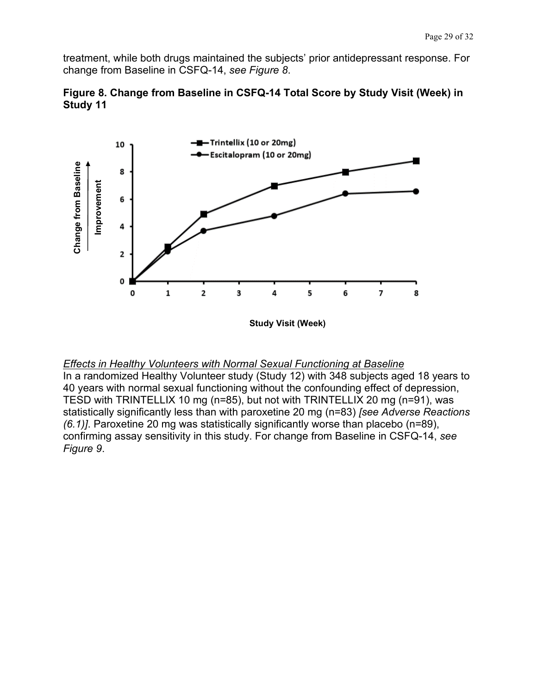treatment, while both drugs maintained the subjects' prior antidepressant response. For change from Baseline in CSFQ-14, *see Figure 8*.





### *Effects in Healthy Volunteers with Normal Sexual Functioning at Baseline*

In a randomized Healthy Volunteer study (Study 12) with 348 subjects aged 18 years to 40 years with normal sexual functioning without the confounding effect of depression, TESD with TRINTELLIX 10 mg (n=85), but not with TRINTELLIX 20 mg (n=91), was statistically significantly less than with paroxetine 20 mg (n=83) *[see Adverse Reactions (6.1)]*. Paroxetine 20 mg was statistically significantly worse than placebo (n=89), confirming assay sensitivity in this study. For change from Baseline in CSFQ-14, *see Figure 9*.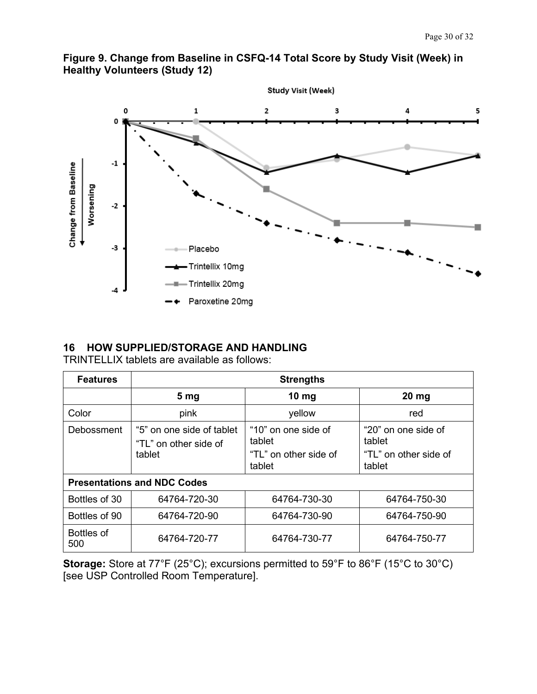## **Figure 9. Change from Baseline in CSFQ-14 Total Score by Study Visit (Week) in Healthy Volunteers (Study 12)**



## **16 HOW SUPPLIED/STORAGE AND HANDLING**

TRINTELLIX tablets are available as follows:

| <b>Features</b>   | <b>Strengths</b>                                             |                                                                  |                                                                  |  |  |
|-------------------|--------------------------------------------------------------|------------------------------------------------------------------|------------------------------------------------------------------|--|--|
|                   | 5 <sub>mg</sub>                                              | 10 <sub>mg</sub>                                                 | $20$ mg                                                          |  |  |
| Color             | pink                                                         | yellow                                                           | red                                                              |  |  |
| Debossment        | "5" on one side of tablet<br>"TL" on other side of<br>tablet | "10" on one side of<br>tablet<br>"TL" on other side of<br>tablet | "20" on one side of<br>tablet<br>"TL" on other side of<br>tablet |  |  |
|                   | <b>Presentations and NDC Codes</b>                           |                                                                  |                                                                  |  |  |
| Bottles of 30     | 64764-720-30                                                 | 64764-730-30                                                     | 64764-750-30                                                     |  |  |
| Bottles of 90     | 64764-720-90                                                 | 64764-730-90                                                     | 64764-750-90                                                     |  |  |
| Bottles of<br>500 | 64764-720-77                                                 | 64764-730-77                                                     | 64764-750-77                                                     |  |  |

**Storage:** Store at 77°F (25°C); excursions permitted to 59°F to 86°F (15°C to 30°C) [see USP Controlled Room Temperature].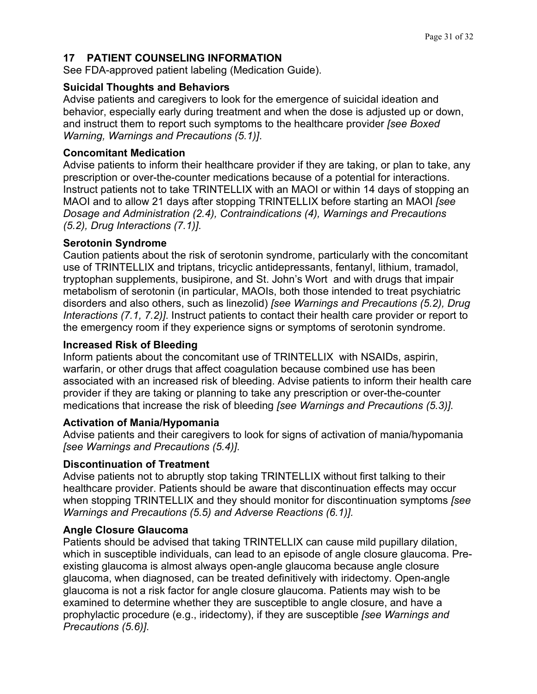## **17 PATIENT COUNSELING INFORMATION**

See FDA-approved patient labeling (Medication Guide).

### **Suicidal Thoughts and Behaviors**

Advise patients and caregivers to look for the emergence of suicidal ideation and behavior, especially early during treatment and when the dose is adjusted up or down, and instruct them to report such symptoms to the healthcare provider *[see Boxed Warning, Warnings and Precautions (5.1)]*.

### **Concomitant Medication**

Advise patients to inform their healthcare provider if they are taking, or plan to take, any prescription or over-the-counter medications because of a potential for interactions. Instruct patients not to take TRINTELLIX with an MAOI or within 14 days of stopping an MAOI and to allow 21 days after stopping TRINTELLIX before starting an MAOI *[see Dosage and Administration (2.4), Contraindications (4), Warnings and Precautions (5.2), Drug Interactions (7.1)]*.

### **Serotonin Syndrome**

Caution patients about the risk of serotonin syndrome, particularly with the concomitant use of TRINTELLIX and triptans, tricyclic antidepressants, fentanyl, lithium, tramadol, tryptophan supplements, busipirone, and St. John's Wort and with drugs that impair metabolism of serotonin (in particular, MAOIs, both those intended to treat psychiatric disorders and also others, such as linezolid) *[see Warnings and Precautions (5.2), Drug Interactions (7.1, 7.2)]*. Instruct patients to contact their health care provider or report to the emergency room if they experience signs or symptoms of serotonin syndrome.

### **Increased Risk of Bleeding**

Inform patients about the concomitant use of TRINTELLIX with NSAIDs, aspirin, warfarin, or other drugs that affect coagulation because combined use has been associated with an increased risk of bleeding. Advise patients to inform their health care provider if they are taking or planning to take any prescription or over-the-counter medications that increase the risk of bleeding *[see Warnings and Precautions (5.3)]*.

## **Activation of Mania/Hypomania**

Advise patients and their caregivers to look for signs of activation of mania/hypomania *[see Warnings and Precautions (5.4)]*.

### **Discontinuation of Treatment**

Advise patients not to abruptly stop taking TRINTELLIX without first talking to their healthcare provider. Patients should be aware that discontinuation effects may occur when stopping TRINTELLIX and they should monitor for discontinuation symptoms *[see Warnings and Precautions (5.5) and Adverse Reactions (6.1)].*

### **Angle Closure Glaucoma**

Patients should be advised that taking TRINTELLIX can cause mild pupillary dilation, which in susceptible individuals, can lead to an episode of angle closure glaucoma. Preexisting glaucoma is almost always open-angle glaucoma because angle closure glaucoma, when diagnosed, can be treated definitively with iridectomy. Open-angle glaucoma is not a risk factor for angle closure glaucoma. Patients may wish to be examined to determine whether they are susceptible to angle closure, and have a prophylactic procedure (e.g., iridectomy), if they are susceptible *[see Warnings and Precautions (5.6)]*.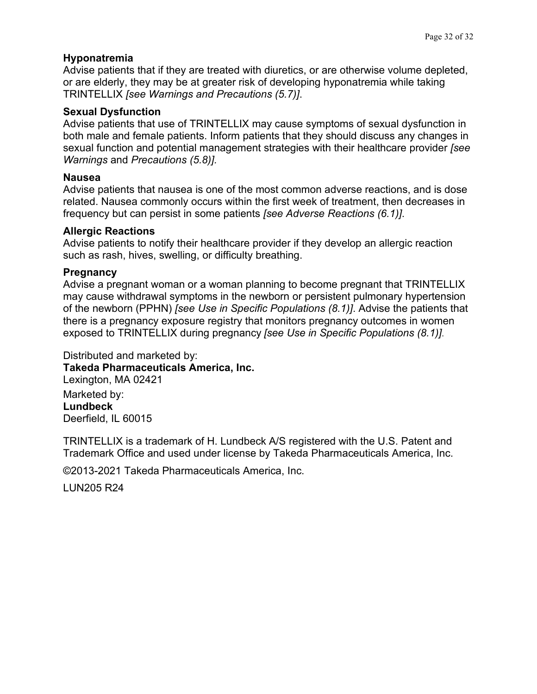### **Hyponatremia**

Advise patients that if they are treated with diuretics, or are otherwise volume depleted, or are elderly, they may be at greater risk of developing hyponatremia while taking TRINTELLIX *[see Warnings and Precautions (5.7)]*.

### **Sexual Dysfunction**

Advise patients that use of TRINTELLIX may cause symptoms of sexual dysfunction in both male and female patients. Inform patients that they should discuss any changes in sexual function and potential management strategies with their healthcare provider *[see Warnings* and *Precautions (5.8)].*

### **Nausea**

Advise patients that nausea is one of the most common adverse reactions, and is dose related. Nausea commonly occurs within the first week of treatment, then decreases in frequency but can persist in some patients *[see Adverse Reactions (6.1)]*.

### **Allergic Reactions**

Advise patients to notify their healthcare provider if they develop an allergic reaction such as rash, hives, swelling, or difficulty breathing.

### **Pregnancy**

Advise a pregnant woman or a woman planning to become pregnant that TRINTELLIX may cause withdrawal symptoms in the newborn or persistent pulmonary hypertension of the newborn (PPHN) *[see Use in Specific Populations (8.1)]*. Advise the patients that there is a pregnancy exposure registry that monitors pregnancy outcomes in women exposed to TRINTELLIX during pregnancy *[see Use in Specific Populations (8.1)]*.

Distributed and marketed by: **Takeda Pharmaceuticals America, Inc.** Lexington, MA 02421

Marketed by: **Lundbeck** Deerfield, IL 60015

TRINTELLIX is a trademark of H. Lundbeck A/S registered with the U.S. Patent and Trademark Office and used under license by Takeda Pharmaceuticals America, Inc.

©2013-2021 Takeda Pharmaceuticals America, Inc.

LUN205 R24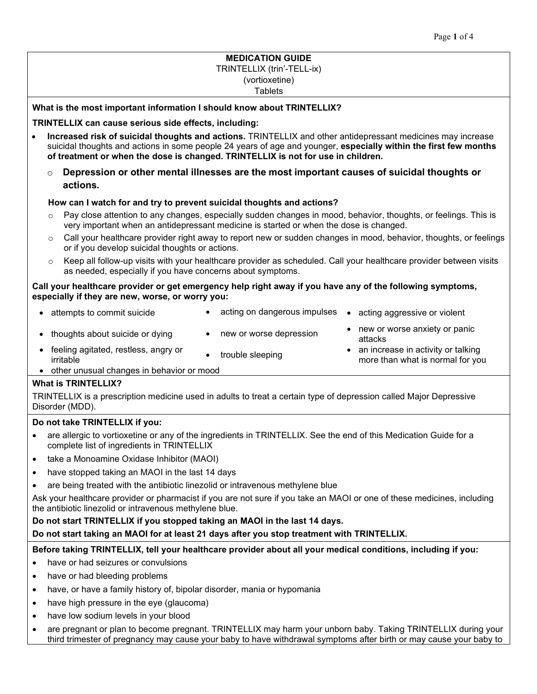### **MEDICATION GUIDE** TRINTELLIX (trin'-TELL-ix) (vortioxetine) **Tablets**

### **What is the most important information I should know about TRINTELLIX?**

### **TRINTELLIX can cause serious side effects, including:**

- **Increased risk of suicidal thoughts and actions.** TRINTELLIX and other antidepressant medicines may increase suicidal thoughts and actions in some people 24 years of age and younger, **especially within the first few months of treatment or when the dose is changed. TRINTELLIX is not for use in children.**
	- o **Depression or other mental illnesses are the most important causes of suicidal thoughts or actions.**

#### **How can I watch for and try to prevent suicidal thoughts and actions?**

- $\circ$  Pay close attention to any changes, especially sudden changes in mood, behavior, thoughts, or feelings. This is very important when an antidepressant medicine is started or when the dose is changed.
- $\circ$  Call your healthcare provider right away to report new or sudden changes in mood, behavior, thoughts, or feelings or if you develop suicidal thoughts or actions.
- $\circ$  Keep all follow-up visits with your healthcare provider as scheduled. Call your healthcare provider between visits as needed, especially if you have concerns about symptoms.

#### **Call your healthcare provider or get emergency help right away if you have any of the following symptoms, especially if they are new, worse, or worry you:**

- attempts to commit suicide acting on dangerous impulses acting aggressive or violent
- thoughts about suicide or dying new or worse depression new or worse anxiety or panic
- 
- 
- attacks
- irritable trouble sleeping an increase in activity or talking more than what is normal for you
- other unusual changes in behavior or mood

• feeling agitated, restless, angry or

### **What is TRINTELLIX?**

TRINTELLIX is a prescription medicine used in adults to treat a certain type of depression called Major Depressive Disorder (MDD).

### **Do not take TRINTELLIX if you:**

- are allergic to vortioxetine or any of the ingredients in TRINTELLIX. See the end of this Medication Guide for a complete list of ingredients in TRINTELLIX
- take a Monoamine Oxidase Inhibitor (MAOI)
- have stopped taking an MAOI in the last 14 days
- are being treated with the antibiotic linezolid or intravenous methylene blue

Ask your healthcare provider or pharmacist if you are not sure if you take an MAOI or one of these medicines, including the antibiotic linezolid or intravenous methylene blue.

#### **Do not start TRINTELLIX if you stopped taking an MAOI in the last 14 days.**

**Do not start taking an MAOI for at least 21 days after you stop treatment with TRINTELLIX.**

### **Before taking TRINTELLIX, tell your healthcare provider about all your medical conditions, including if you:**

- have or had seizures or convulsions
- have or had bleeding problems
- have, or have a family history of, bipolar disorder, mania or hypomania
- have high pressure in the eye (glaucoma)
- have low sodium levels in your blood
- are pregnant or plan to become pregnant. TRINTELLIX may harm your unborn baby. Taking TRINTELLIX during your third trimester of pregnancy may cause your baby to have withdrawal symptoms after birth or may cause your baby to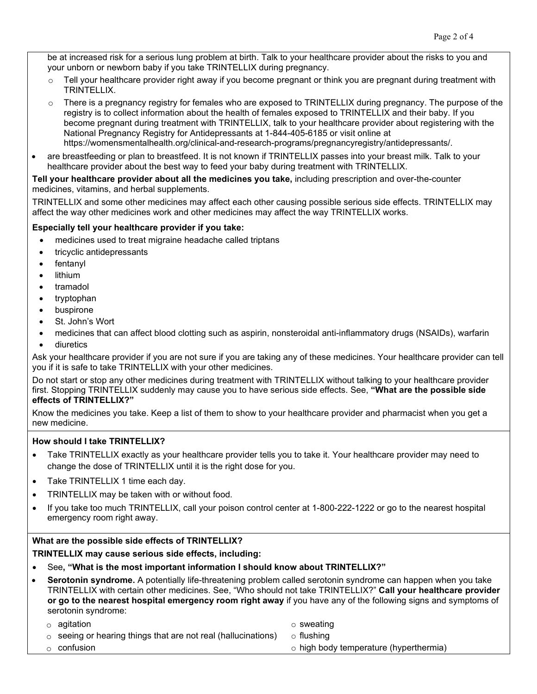be at increased risk for a serious lung problem at birth. Talk to your healthcare provider about the risks to you and your unborn or newborn baby if you take TRINTELLIX during pregnancy.

- Tell your healthcare provider right away if you become pregnant or think you are pregnant during treatment with TRINTELLIX.
- $\circ$  There is a pregnancy registry for females who are exposed to TRINTELLIX during pregnancy. The purpose of the registry is to collect information about the health of females exposed to TRINTELLIX and their baby. If you become pregnant during treatment with TRINTELLIX, talk to your healthcare provider about registering with the National Pregnancy Registry for Antidepressants at 1-844-405-6185 or visit online at https://womensmentalhealth.org/clinical-and-research-programs/pregnancyregistry/antidepressants/.
- are breastfeeding or plan to breastfeed. It is not known if TRINTELLIX passes into your breast milk. Talk to your healthcare provider about the best way to feed your baby during treatment with TRINTELLIX.

#### **Tell your healthcare provider about all the medicines you take,** including prescription and over-the-counter medicines, vitamins, and herbal supplements.

TRINTELLIX and some other medicines may affect each other causing possible serious side effects. TRINTELLIX may affect the way other medicines work and other medicines may affect the way TRINTELLIX works.

### **Especially tell your healthcare provider if you take:**

- medicines used to treat migraine headache called triptans
- tricyclic antidepressants
- fentanyl
- lithium
- tramadol
- tryptophan
- buspirone
- St. John's Wort
- medicines that can affect blood clotting such as aspirin, nonsteroidal anti-inflammatory drugs (NSAIDs), warfarin
- diuretics

Ask your healthcare provider if you are not sure if you are taking any of these medicines. Your healthcare provider can tell you if it is safe to take TRINTELLIX with your other medicines.

Do not start or stop any other medicines during treatment with TRINTELLIX without talking to your healthcare provider first. Stopping TRINTELLIX suddenly may cause you to have serious side effects. See, **"What are the possible side effects of TRINTELLIX?"**

Know the medicines you take. Keep a list of them to show to your healthcare provider and pharmacist when you get a new medicine.

### **How should I take TRINTELLIX?**

- Take TRINTELLIX exactly as your healthcare provider tells you to take it. Your healthcare provider may need to change the dose of TRINTELLIX until it is the right dose for you.
- Take TRINTELLIX 1 time each day.
- TRINTELLIX may be taken with or without food.
- If you take too much TRINTELLIX, call your poison control center at 1-800-222-1222 or go to the nearest hospital emergency room right away.

### **What are the possible side effects of TRINTELLIX?**

### **TRINTELLIX may cause serious side effects, including:**

- See**, "What is the most important information I should know about TRINTELLIX?"**
- **Serotonin syndrome.** A potentially life-threatening problem called serotonin syndrome can happen when you take TRINTELLIX with certain other medicines. See, "Who should not take TRINTELLIX?" **Call your healthcare provider or go to the nearest hospital emergency room right away** if you have any of the following signs and symptoms of serotonin syndrome:
	- $\circ$  agitation observes that the set of  $\circ$  sweating
- - $\circ$  seeing or hearing things that are not real (hallucinations)  $\circ$  flushing  $\circ$  confusion  $\circ$
	-
- 
- $\circ$  high body temperature (hyperthermia)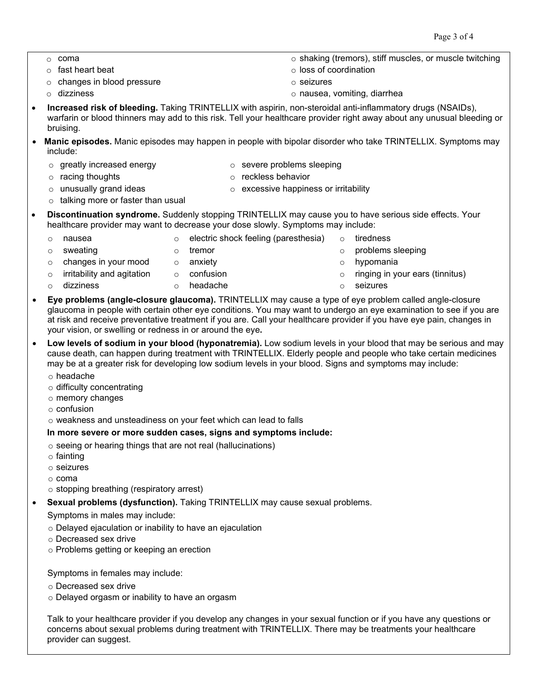| $\circ$ coma             | $\circ$ shaking (tremors), stiff muscles, or muscle twitching |
|--------------------------|---------------------------------------------------------------|
| റ <b>fast heart beat</b> | $\circ$ loss of coordination                                  |
|                          |                                                               |

- $\circ$  changes in blood pressure  $\qquadcirc$  o seizures
- 
- 
- $\circ$  dizziness  $\circ$  diarrhea nausea, vomiting, diarrhea
- **Increased risk of bleeding.** Taking TRINTELLIX with aspirin, non-steroidal anti-inflammatory drugs (NSAIDs), warfarin or blood thinners may add to this risk. Tell your healthcare provider right away about any unusual bleeding or bruising.
- **Manic episodes.** Manic episodes may happen in people with bipolar disorder who take TRINTELLIX. Symptoms may include:
	- o greatly increased energy **o severe problems sleeping** 
		-

- 
- o racing thoughts **o reckless behavior**
- $\circ$  unusually grand ideas  $\circ$  excessive happiness or irritability
- $\circ$  talking more or faster than usual
- **Discontinuation syndrome.** Suddenly stopping TRINTELLIX may cause you to have serious side effects. Your healthcare provider may want to decrease your dose slowly. Symptoms may include:
- 
- o nausea o electric shock feeling (paresthesia) o tiredness
- $\circ$  sweating  $\circ$  tremor obtained by  $\circ$  problems sleeping
- 
- $\circ$  changes in your mood  $\qquad \circ$  anxiety  $\qquad \qquad \circ$  hypomania
- -
- 
- $\circ$  irritability and agitation  $\circ$  confusion  $\circ$  on ringing in your ears (tinnitus)
- o dizziness o headache o seizures
- **Eye problems (angle-closure glaucoma).** TRINTELLIX may cause a type of eye problem called angle-closure glaucoma in people with certain other eye conditions. You may want to undergo an eye examination to see if you are at risk and receive preventative treatment if you are. Call your healthcare provider if you have eye pain, changes in your vision, or swelling or redness in or around the eye**.**
- **Low levels of sodium in your blood (hyponatremia).** Low sodium levels in your blood that may be serious and may cause death, can happen during treatment with TRINTELLIX. Elderly people and people who take certain medicines may be at a greater risk for developing low sodium levels in your blood. Signs and symptoms may include:
	- o headache
	- o difficulty concentrating
	- o memory changes
	- o confusion
	- o weakness and unsteadiness on your feet which can lead to falls
	- **In more severe or more sudden cases, signs and symptoms include:**
	- o seeing or hearing things that are not real (hallucinations)
	- o fainting
	- o seizures
	- o coma
	- o stopping breathing (respiratory arrest)
- **Sexual problems (dysfunction).** Taking TRINTELLIX may cause sexual problems.
	- Symptoms in males may include:
	- o Delayed ejaculation or inability to have an ejaculation
	- o Decreased sex drive
	- o Problems getting or keeping an erection

Symptoms in females may include:

- o Decreased sex drive
- o Delayed orgasm or inability to have an orgasm

Talk to your healthcare provider if you develop any changes in your sexual function or if you have any questions or concerns about sexual problems during treatment with TRINTELLIX. There may be treatments your healthcare provider can suggest.